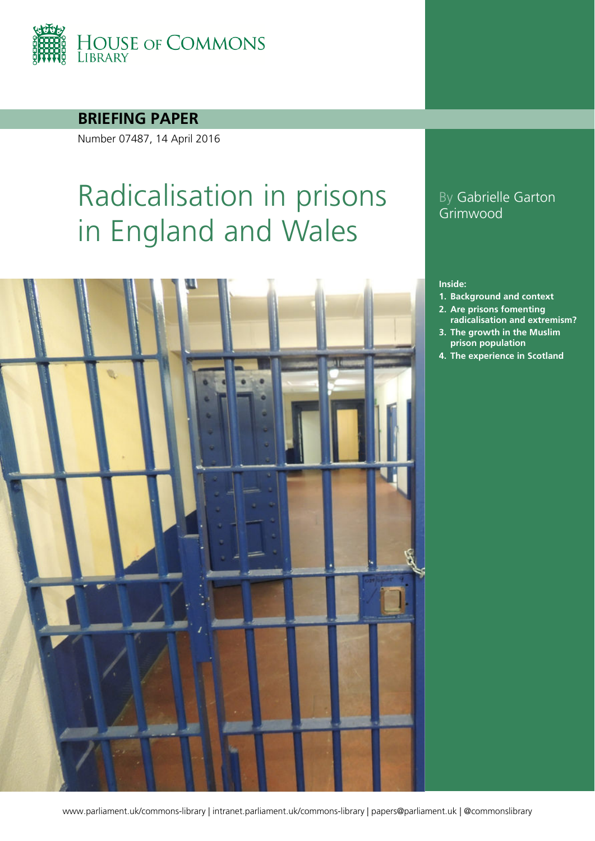

#### **BRIEFING PAPER**

Number 07487, 14 April 2016

# Radicalisation in prisons in England and Wales



#### By Gabrielle Garton Grimwood

#### **Inside:**

- **1. [Background and context](#page-6-0)**
- **2. [Are prisons fomenting](#page-9-0)  [radicalisation and extremism?](#page-9-0)**
- **3. [The growth in the Muslim](#page-22-0)  [prison population](#page-22-0)**
- **4. [The experience in Scotland](#page-28-0)**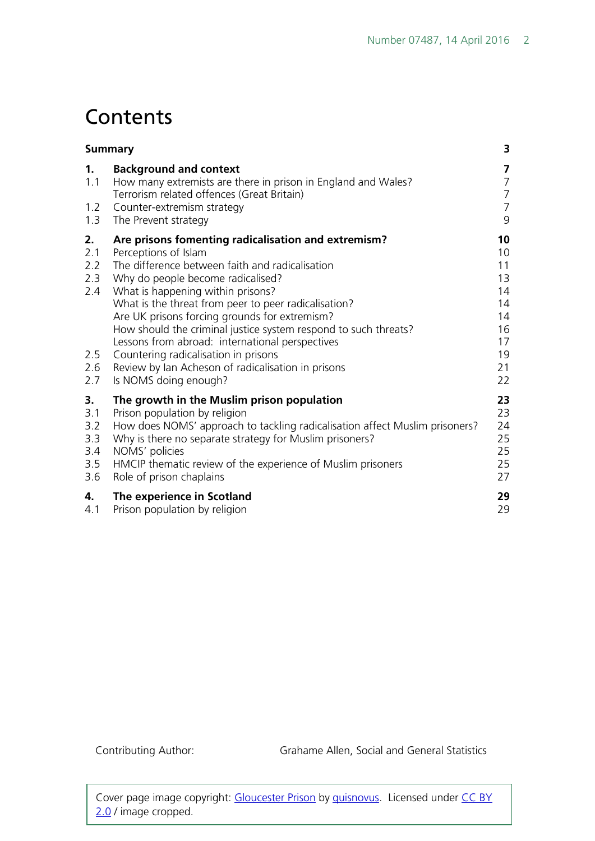# **Contents**

|                                | <b>Summary</b>                                                                                                                                                                                                                                                                                                                                                                                                                          | 3                                                           |
|--------------------------------|-----------------------------------------------------------------------------------------------------------------------------------------------------------------------------------------------------------------------------------------------------------------------------------------------------------------------------------------------------------------------------------------------------------------------------------------|-------------------------------------------------------------|
| 1 <sub>1</sub><br>1.1          | <b>Background and context</b><br>How many extremists are there in prison in England and Wales?<br>Terrorism related offences (Great Britain)                                                                                                                                                                                                                                                                                            | $\overline{\mathbf{z}}$<br>$\overline{7}$<br>$\overline{7}$ |
| 1.2                            | Counter-extremism strategy                                                                                                                                                                                                                                                                                                                                                                                                              | $\overline{7}$                                              |
| 1.3                            | The Prevent strategy                                                                                                                                                                                                                                                                                                                                                                                                                    | 9                                                           |
| 2.<br>2.1<br>2.2<br>2.3<br>2.4 | Are prisons fomenting radicalisation and extremism?<br>Perceptions of Islam<br>The difference between faith and radicalisation<br>Why do people become radicalised?<br>What is happening within prisons?<br>What is the threat from peer to peer radicalisation?<br>Are UK prisons forcing grounds for extremism?<br>How should the criminal justice system respond to such threats?<br>Lessons from abroad: international perspectives | 10<br>10<br>11<br>13<br>14<br>14<br>14<br>16<br>17          |
| 2.5                            | Countering radicalisation in prisons                                                                                                                                                                                                                                                                                                                                                                                                    | 19                                                          |
| 2.6                            | Review by Ian Acheson of radicalisation in prisons                                                                                                                                                                                                                                                                                                                                                                                      | 21                                                          |
| 2.7                            | Is NOMS doing enough?                                                                                                                                                                                                                                                                                                                                                                                                                   | 22                                                          |
| 3.                             | The growth in the Muslim prison population                                                                                                                                                                                                                                                                                                                                                                                              | 23                                                          |
| 3.1                            | Prison population by religion                                                                                                                                                                                                                                                                                                                                                                                                           | 23                                                          |
| 3.2                            | How does NOMS' approach to tackling radicalisation affect Muslim prisoners?                                                                                                                                                                                                                                                                                                                                                             | 24                                                          |
| 3.3                            | Why is there no separate strategy for Muslim prisoners?                                                                                                                                                                                                                                                                                                                                                                                 | 25                                                          |
| 3.4                            | NOMS' policies                                                                                                                                                                                                                                                                                                                                                                                                                          | 25                                                          |
| 3.5                            | HMCIP thematic review of the experience of Muslim prisoners                                                                                                                                                                                                                                                                                                                                                                             | 25                                                          |
| 3.6                            | Role of prison chaplains                                                                                                                                                                                                                                                                                                                                                                                                                | 27                                                          |
| 4.                             | The experience in Scotland                                                                                                                                                                                                                                                                                                                                                                                                              | 29                                                          |
| 4.1                            | Prison population by religion                                                                                                                                                                                                                                                                                                                                                                                                           | 29                                                          |

Contributing Author: Grahame Allen, Social and General Statistics

Cover page image copyright: [Gloucester Prison](https://www.flickr.com/photos/quisnovus/17647675415/in/photolist-8URcJY-8UPJc3-8UNPzZ-8UN7L5-8UKwHP-8ULs5k-51tM9b-egZzxt-azTLcr-8UP5Ku-9HgE6T-aBX5Qp-qyHkrQ-sARicy-sAQWkd-sR7vD1-trjmD4-rWCto4-5iSDsx-dr9Tae-5Gsb7g-5Fe8ku-5KHKZc-2kFnwM-5FDZBn-sAYwDv-rWr1mm-aat7Xy-sTbKEK-txaa1q-sB1h7F-sAYUfg-sTsQkg-sTf6B1-sTsX4M-rWCXGi-sTsELn-sTsN3r-sATzS5-rWs5fS-sTtbr8) by [quisnovus.](https://www.flickr.com/photos/quisnovus/) Licensed under CC BY [2.0](https://creativecommons.org/licenses/by-nc/2.0/) / image cropped.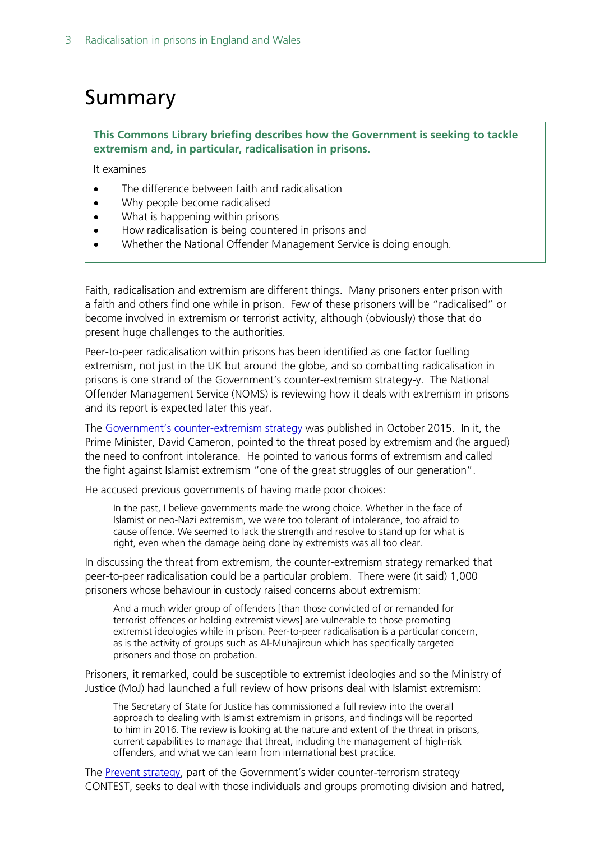# <span id="page-2-0"></span>Summary

**This Commons Library briefing describes how the Government is seeking to tackle extremism and, in particular, radicalisation in prisons.**

It examines

- The difference between faith and radicalisation
- Why people become radicalised
- What is happening within prisons
- How radicalisation is being countered in prisons and
- Whether the National Offender Management Service is doing enough.

Faith, radicalisation and extremism are different things. Many prisoners enter prison with a faith and others find one while in prison. Few of these prisoners will be "radicalised" or become involved in extremism or terrorist activity, although (obviously) those that do present huge challenges to the authorities.

Peer-to-peer radicalisation within prisons has been identified as one factor fuelling extremism, not just in the UK but around the globe, and so combatting radicalisation in prisons is one strand of the Government's counter-extremism strategy-y. The National Offender Management Service (NOMS) is reviewing how it deals with extremism in prisons and its report is expected later this year.

The [Government's counter-extremism strategy](https://www.gov.uk/government/uploads/system/uploads/attachment_data/file/470088/51859_Cm9148_Accessible.pdf) was published in October 2015. In it, the Prime Minister, David Cameron, pointed to the threat posed by extremism and (he argued) the need to confront intolerance. He pointed to various forms of extremism and called the fight against Islamist extremism "one of the great struggles of our generation".

He accused previous governments of having made poor choices:

In the past, I believe governments made the wrong choice. Whether in the face of Islamist or neo-Nazi extremism, we were too tolerant of intolerance, too afraid to cause offence. We seemed to lack the strength and resolve to stand up for what is right, even when the damage being done by extremists was all too clear.

In discussing the threat from extremism, the counter-extremism strategy remarked that peer-to-peer radicalisation could be a particular problem. There were (it said) 1,000 prisoners whose behaviour in custody raised concerns about extremism:

And a much wider group of offenders [than those convicted of or remanded for terrorist offences or holding extremist views] are vulnerable to those promoting extremist ideologies while in prison. Peer-to-peer radicalisation is a particular concern, as is the activity of groups such as Al-Muhajiroun which has specifically targeted prisoners and those on probation.

Prisoners, it remarked, could be susceptible to extremist ideologies and so the Ministry of Justice (MoJ) had launched a full review of how prisons deal with Islamist extremism:

The Secretary of State for Justice has commissioned a full review into the overall approach to dealing with Islamist extremism in prisons, and findings will be reported to him in 2016. The review is looking at the nature and extent of the threat in prisons, current capabilities to manage that threat, including the management of high-risk offenders, and what we can learn from international best practice.

The [Prevent strategy,](https://www.gov.uk/government/uploads/system/uploads/attachment_data/file/97976/prevent-strategy-review.pdf) part of the Government's wider counter-terrorism strategy CONTEST, seeks to deal with those individuals and groups promoting division and hatred,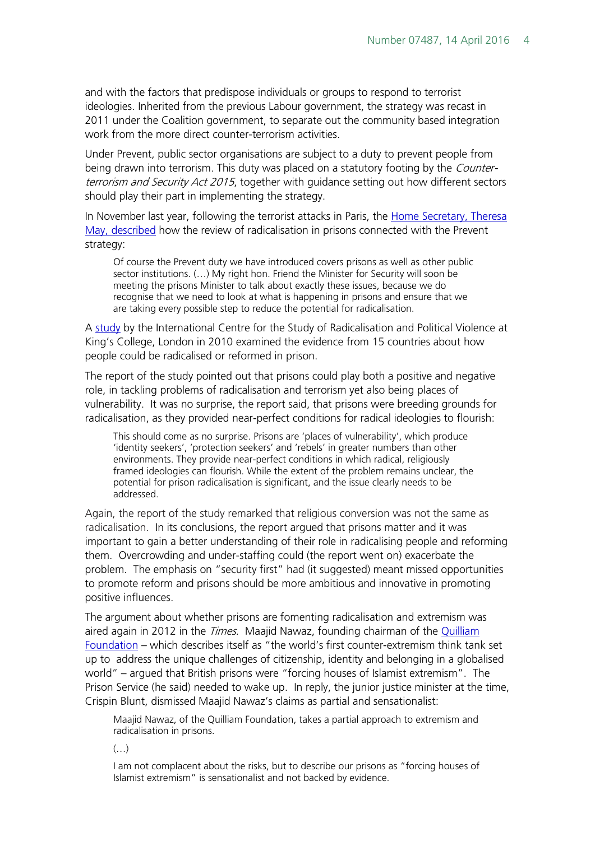and with the factors that predispose individuals or groups to respond to terrorist ideologies. Inherited from the previous Labour government, the strategy was recast in 2011 under the Coalition government, to separate out the community based integration work from the more direct counter-terrorism activities.

Under Prevent, public sector organisations are subject to a duty to prevent people from being drawn into terrorism. This duty was placed on a statutory footing by the *Counter*terrorism and Security Act 2015, together with guidance setting out how different sectors should play their part in implementing the strategy.

In November last year, following the terrorist attacks in Paris, the Home Secretary, Theresa [May, described](http://www.publications.parliament.uk/pa/cm201516/cmhansrd/cm151116/debtext/151116-0002.htm) how the review of radicalisation in prisons connected with the Prevent strategy:

Of course the Prevent duty we have introduced covers prisons as well as other public sector institutions. (…) My right hon. Friend the Minister for Security will soon be meeting the prisons Minister to talk about exactly these issues, because we do recognise that we need to look at what is happening in prisons and ensure that we are taking every possible step to reduce the potential for radicalisation.

A [study](http://icsr.info/wp-content/uploads/2012/10/1277699166PrisonsandTerrorismRadicalisationandDeradicalisationin15Countries.pdf) by the International Centre for the Study of Radicalisation and Political Violence at King's College, London in 2010 examined the evidence from 15 countries about how people could be radicalised or reformed in prison.

The report of the study pointed out that prisons could play both a positive and negative role, in tackling problems of radicalisation and terrorism yet also being places of vulnerability. It was no surprise, the report said, that prisons were breeding grounds for radicalisation, as they provided near-perfect conditions for radical ideologies to flourish:

This should come as no surprise. Prisons are 'places of vulnerability', which produce 'identity seekers', 'protection seekers' and 'rebels' in greater numbers than other environments. They provide near-perfect conditions in which radical, religiously framed ideologies can flourish. While the extent of the problem remains unclear, the potential for prison radicalisation is significant, and the issue clearly needs to be addressed.

Again, the report of the study remarked that religious conversion was not the same as radicalisation. In its conclusions, the report argued that prisons matter and it was important to gain a better understanding of their role in radicalising people and reforming them. Overcrowding and under-staffing could (the report went on) exacerbate the problem. The emphasis on "security first" had (it suggested) meant missed opportunities to promote reform and prisons should be more ambitious and innovative in promoting positive influences.

The argument about whether prisons are fomenting radicalisation and extremism was aired again in 2012 in the *Times*. Maajid Nawaz, founding chairman of the [Quilliam](http://www.quilliamfoundation.org/) [Foundation](http://www.quilliamfoundation.org/) – which describes itself as "the world's first counter-extremism think tank set up to address the unique challenges of citizenship, identity and belonging in a globalised world" – argued that British prisons were "forcing houses of Islamist extremism". The Prison Service (he said) needed to wake up. In reply, the junior justice minister at the time, Crispin Blunt, dismissed Maajid Nawaz's claims as partial and sensationalist:

Maajid Nawaz, of the Quilliam Foundation, takes a partial approach to extremism and radicalisation in prisons.

 $(\ldots)$ 

I am not complacent about the risks, but to describe our prisons as "forcing houses of Islamist extremism" is sensationalist and not backed by evidence.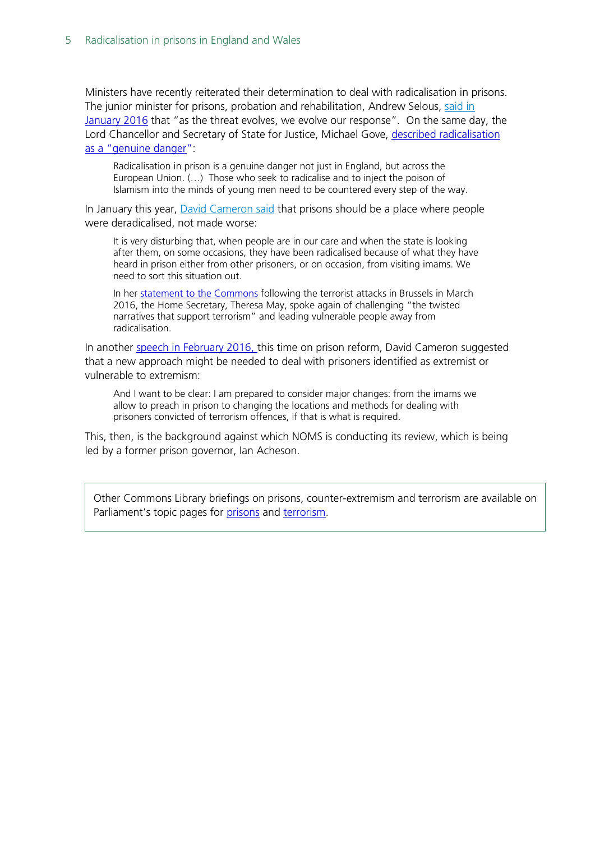Ministers have recently reiterated their determination to deal with radicalisation in prisons. The junior minister for prisons, probation and rehabilitation, Andrew Selous, [said in](http://www.publications.parliament.uk/pa/cm201516/cmhansrd/cm160126/debtext/160126-0001.htm) January 2016 that "as the threat evolves, we evolve our response". On the same day, the Lord Chancellor and Secretary of State for Justice, Michael Gove, [described radicalisation](http://www.publications.parliament.uk/pa/cm201516/cmhansrd/cm160126/debtext/160126-0001.htm)  [as a "genuine danger":](http://www.publications.parliament.uk/pa/cm201516/cmhansrd/cm160126/debtext/160126-0001.htm)

Radicalisation in prison is a genuine danger not just in England, but across the European Union. (…) Those who seek to radicalise and to inject the poison of Islamism into the minds of young men need to be countered every step of the way.

In January this year, [David Cameron said](http://www.publications.parliament.uk/pa/cm201516/cmhansrd/cm160127/debtext/160127-0001.htm) that prisons should be a place where people were deradicalised, not made worse:

It is very disturbing that, when people are in our care and when the state is looking after them, on some occasions, they have been radicalised because of what they have heard in prison either from other prisoners, or on occasion, from visiting imams. We need to sort this situation out.

In her [statement to the Commons](http://www.publications.parliament.uk/pa/cm201516/cmhansrd/cm160323/debtext/160323-0001.htm) following the terrorist attacks in Brussels in March 2016, the Home Secretary, Theresa May, spoke again of challenging "the twisted narratives that support terrorism" and leading vulnerable people away from radicalisation.

In another [speech in February](https://www.gov.uk/government/speeches/prison-reform-prime-ministers-speech) 2016, this time on prison reform, David Cameron suggested that a new approach might be needed to deal with prisoners identified as extremist or vulnerable to extremism:

And I want to be clear: I am prepared to consider major changes: from the imams we allow to preach in prison to changing the locations and methods for dealing with prisoners convicted of terrorism offences, if that is what is required.

This, then, is the background against which NOMS is conducting its review, which is being led by a former prison governor, Ian Acheson.

Other Commons Library briefings on prisons, counter-extremism and terrorism are available on [Parliament's topic pages](http://www.parliament.uk/topics/Prisons.htm) for prisons and terrorism.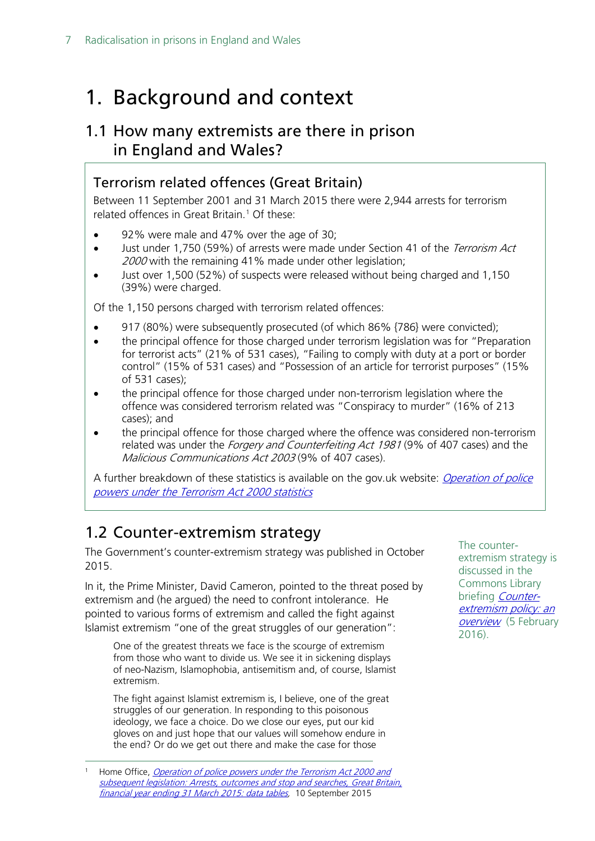# <span id="page-6-0"></span>1. Background and context

### <span id="page-6-1"></span>1.1 How many extremists are there in prison in England and Wales?

#### <span id="page-6-2"></span>Terrorism related offences (Great Britain)

Between 11 September 2001 and 31 March 2015 there were 2,944 arrests for terrorism related offences in Great Britain.<sup>[1](#page-6-4)</sup> Of these:

- 92% were male and 47% over the age of 30;
- Just under 1,750 (59%) of arrests were made under Section 41 of the *Terrorism Act* 2000 with the remaining 41% made under other legislation;
- Just over 1,500 (52%) of suspects were released without being charged and 1,150 (39%) were charged.

Of the 1,150 persons charged with terrorism related offences:

- 917 (80%) were subsequently prosecuted (of which 86% {786} were convicted);
- the principal offence for those charged under terrorism legislation was for "Preparation" for terrorist acts" (21% of 531 cases), "Failing to comply with duty at a port or border control" (15% of 531 cases) and "Possession of an article for terrorist purposes" (15% of 531 cases);
- the principal offence for those charged under non-terrorism legislation where the offence was considered terrorism related was "Conspiracy to murder" (16% of 213 cases); and
- the principal offence for those charged where the offence was considered non-terrorism related was under the *Forgery and Counterfeiting Act 1981* (9% of 407 cases) and the Malicious Communications Act 2003 (9% of 407 cases).

A further breakdown of these statistics is available on the gov.uk website: *Operation of police* [powers under the Terrorism Act 2000 statistics](https://www.gov.uk/government/collections/operation-of-police-powers-under-the-terrorism-act-2000)

### <span id="page-6-3"></span>1.2 Counter-extremism strategy

The Government's counter-extremism strategy was published in October 2015.

In it, the Prime Minister, David Cameron, pointed to the threat posed by extremism and (he argued) the need to confront intolerance. He pointed to various forms of extremism and called the fight against Islamist extremism "one of the great struggles of our generation":

One of the greatest threats we face is the scourge of extremism from those who want to divide us. We see it in sickening displays of neo-Nazism, Islamophobia, antisemitism and, of course, Islamist extremism.

The fight against Islamist extremism is, I believe, one of the great struggles of our generation. In responding to this poisonous ideology, we face a choice. Do we close our eyes, put our kid gloves on and just hope that our values will somehow endure in the end? Or do we get out there and make the case for those

<span id="page-6-4"></span>Home Office, Operation of police powers under the Terrorism Act 2000 and [subsequent legislation: Arrests, outcomes and stop and searches, Great Britain,](https://www.gov.uk/government/statistics/operation-of-police-powers-under-the-terrorism-act-2000-financial-year-ending-march-2015-data-tables)  [financial year ending 31 March 2015: data tables,](https://www.gov.uk/government/statistics/operation-of-police-powers-under-the-terrorism-act-2000-financial-year-ending-march-2015-data-tables) 10 September 2015  $\overline{a}$ 

The counterextremism strategy is discussed in the Commons Library briefing *[Counter](http://researchbriefings.parliament.uk/ResearchBriefing/Summary/CBP-7238)*[extremism policy: an](http://researchbriefings.parliament.uk/ResearchBriefing/Summary/CBP-7238)  [overview](http://researchbriefings.parliament.uk/ResearchBriefing/Summary/CBP-7238) (5 February 2016).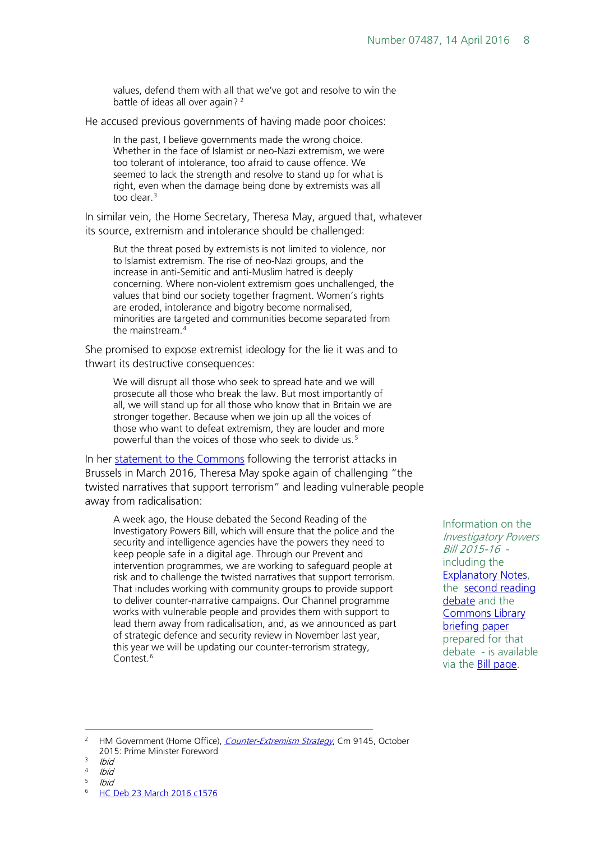values, defend them with all that we've got and resolve to win the battle of ideas all over again? <sup>[2](#page-7-0)</sup>

He accused previous governments of having made poor choices:

In the past, I believe governments made the wrong choice. Whether in the face of Islamist or neo-Nazi extremism, we were too tolerant of intolerance, too afraid to cause offence. We seemed to lack the strength and resolve to stand up for what is right, even when the damage being done by extremists was all too clear.<sup>[3](#page-7-1)</sup>

In similar vein, the Home Secretary, Theresa May, argued that, whatever its source, extremism and intolerance should be challenged:

But the threat posed by extremists is not limited to violence, nor to Islamist extremism. The rise of neo-Nazi groups, and the increase in anti-Semitic and anti-Muslim hatred is deeply concerning. Where non-violent extremism goes unchallenged, the values that bind our society together fragment. Women's rights are eroded, intolerance and bigotry become normalised, minorities are targeted and communities become separated from the mainstream.<sup>[4](#page-7-2)</sup>

She promised to expose extremist ideology for the lie it was and to thwart its destructive consequences:

We will disrupt all those who seek to spread hate and we will prosecute all those who break the law. But most importantly of all, we will stand up for all those who know that in Britain we are stronger together. Because when we join up all the voices of those who want to defeat extremism, they are louder and more powerful than the voices of those who seek to divide us.[5](#page-7-3)

In her [statement to the Commons](http://www.publications.parliament.uk/pa/cm201516/cmhansrd/cm160323/debtext/160323-0001.htm) following the terrorist attacks in Brussels in March 2016, Theresa May spoke again of challenging "the twisted narratives that support terrorism" and leading vulnerable people away from radicalisation:

A week ago, the House debated the Second Reading of the Investigatory Powers Bill, which will ensure that the police and the security and intelligence agencies have the powers they need to keep people safe in a digital age. Through our Prevent and intervention programmes, we are working to safeguard people at risk and to challenge the twisted narratives that support terrorism. That includes working with community groups to provide support to deliver counter-narrative campaigns. Our Channel programme works with vulnerable people and provides them with support to lead them away from radicalisation, and, as we announced as part of strategic defence and security review in November last year, this year we will be updating our counter-terrorism strategy, Contest.<sup>[6](#page-7-4)</sup>

Information on the Investigatory Powers Bill 2015-16 including the [Explanatory Notes,](http://www.publications.parliament.uk/pa/bills/cbill/2015-2016/0143/en/16143en.pdf) the [second reading](http://services.parliament.uk/bills/2015-16/investigatorypowers/stages.html)  [debate](http://services.parliament.uk/bills/2015-16/investigatorypowers/stages.html) and the [Commons Library](http://researchbriefings.parliament.uk/ResearchBriefing/Summary/CBP-7518)  [briefing paper](http://researchbriefings.parliament.uk/ResearchBriefing/Summary/CBP-7518) prepared for that debate - is available via the [Bill page.](http://services.parliament.uk/bills/2015-16/investigatorypowers.html)

3 Ibid

- <span id="page-7-2"></span><span id="page-7-1"></span> $4$  Ibid
- <span id="page-7-3"></span>5 Ibid

<span id="page-7-0"></span>HM Government (Home Office), [Counter-Extremism Strategy](https://www.gov.uk/government/uploads/system/uploads/attachment_data/file/470088/51859_Cm9148_Accessible.pdf), Cm 9145, October 2015: Prime Minister Foreword

<span id="page-7-4"></span><sup>6</sup> [HC Deb 23 March 2016 c1576](http://www.publications.parliament.uk/pa/cm201516/cmhansrd/cm160323/debtext/160323-0001.htm)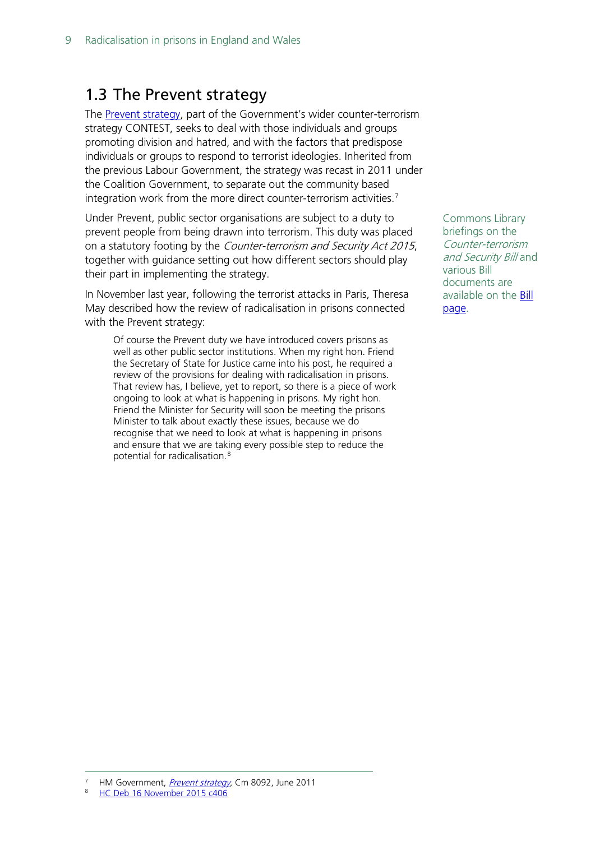### <span id="page-8-0"></span>1.3 The Prevent strategy

The **Prevent strategy**, part of the Government's wider counter-terrorism strategy CONTEST, seeks to deal with those individuals and groups promoting division and hatred, and with the factors that predispose individuals or groups to respond to terrorist ideologies. Inherited from the previous Labour Government, the strategy was recast in 2011 under the Coalition Government, to separate out the community based integration work from the more direct counter-terrorism activities.<sup>[7](#page-8-1)</sup>

Under Prevent, public sector organisations are subject to a duty to prevent people from being drawn into terrorism. This duty was placed on a statutory footing by the *Counter-terrorism and Security Act 2015*, together with guidance setting out how different sectors should play their part in implementing the strategy.

In November last year, following the terrorist attacks in Paris, Theresa May described how the review of radicalisation in prisons connected with the Prevent strategy:

Of course the Prevent duty we have introduced covers prisons as well as other public sector institutions. When my right hon. Friend the Secretary of State for Justice came into his post, he required a review of the provisions for dealing with radicalisation in prisons. That review has, I believe, yet to report, so there is a piece of work ongoing to look at what is happening in prisons. My right hon. Friend the Minister for Security will soon be meeting the prisons Minister to talk about exactly these issues, because we do recognise that we need to look at what is happening in prisons and ensure that we are taking every possible step to reduce the potential for radicalisation.[8](#page-8-2)

Commons Library briefings on the Counter-terrorism and Security Bill and various Bill documents are available on the [Bill](http://services.parliament.uk/bills/2014-15/counterterrorismandsecurity/documents.html)  [page.](http://services.parliament.uk/bills/2014-15/counterterrorismandsecurity/documents.html)

HM Government, [Prevent strategy](https://www.gov.uk/government/uploads/system/uploads/attachment_data/file/97976/prevent-strategy-review.pdf), Cm 8092, June 2011  $\overline{a}$ 

<span id="page-8-2"></span><span id="page-8-1"></span><sup>8</sup> [HC Deb 16 November 2015 c406](http://www.publications.parliament.uk/pa/cm201516/cmhansrd/cm151116/debtext/151116-0002.htm)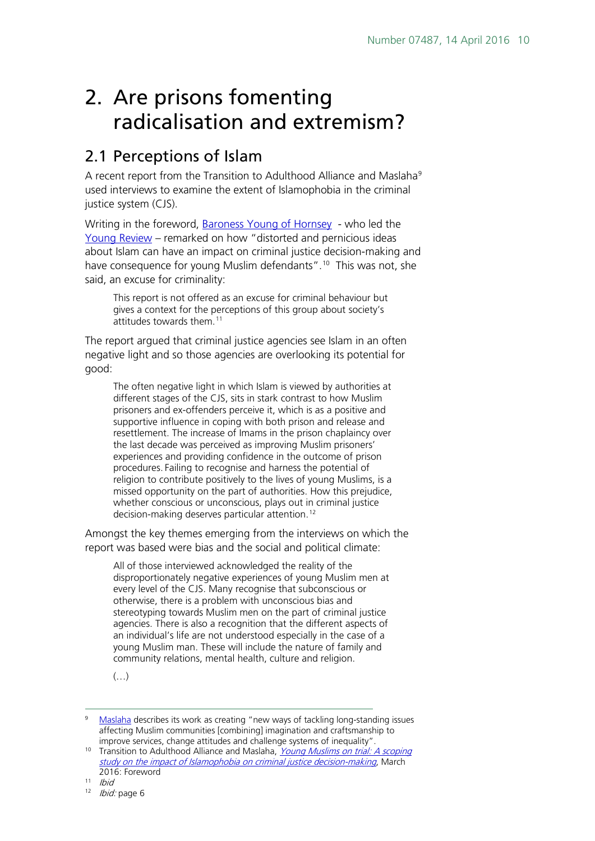# <span id="page-9-0"></span>2. Are prisons fomenting radicalisation and extremism?

# <span id="page-9-1"></span>2.1 Perceptions of Islam

A recent report from the Transition to Adulthood Alliance and Maslaha<sup>[9](#page-9-2)</sup> used interviews to examine the extent of Islamophobia in the criminal justice system (CJS).

Writing in the foreword, [Baroness Young of Hornsey](http://www.parliament.uk/biographies/lords/baroness-young-of-hornsey/3696) - who led the [Young Review](http://www.youngreview.org/) – remarked on how "distorted and pernicious ideas about Islam can have an impact on criminal justice decision-making and have consequence for young Muslim defendants". [10](#page-9-3) This was not, she said, an excuse for criminality:

This report is not offered as an excuse for criminal behaviour but gives a context for the perceptions of this group about society's attitudes towards them.<sup>[11](#page-9-4)</sup>

The report argued that criminal justice agencies see Islam in an often negative light and so those agencies are overlooking its potential for good:

The often negative light in which Islam is viewed by authorities at different stages of the CJS, sits in stark contrast to how Muslim prisoners and ex-offenders perceive it, which is as a positive and supportive influence in coping with both prison and release and resettlement. The increase of Imams in the prison chaplaincy over the last decade was perceived as improving Muslim prisoners' experiences and providing confidence in the outcome of prison procedures. Failing to recognise and harness the potential of religion to contribute positively to the lives of young Muslims, is a missed opportunity on the part of authorities. How this prejudice, whether conscious or unconscious, plays out in criminal justice decision-making deserves particular attention.<sup>[12](#page-9-5)</sup>

Amongst the key themes emerging from the interviews on which the report was based were bias and the social and political climate:

All of those interviewed acknowledged the reality of the disproportionately negative experiences of young Muslim men at every level of the CJS. Many recognise that subconscious or otherwise, there is a problem with unconscious bias and stereotyping towards Muslim men on the part of criminal justice agencies. There is also a recognition that the different aspects of an individual's life are not understood especially in the case of a young Muslim man. These will include the nature of family and community relations, mental health, culture and religion.

 $\left(\ldots\right)$ 

<span id="page-9-4"></span> $11$  Ibid

<span id="page-9-5"></span>12 *Ibid:* page 6

<span id="page-9-2"></span>[Maslaha](http://www.maslaha.org/) describes its work as creating "new ways of tackling long-standing issues affecting Muslim communities [combining] imagination and craftsmanship to improve services, change attitudes and challenge systems of inequality".  $\overline{a}$ 

<span id="page-9-3"></span><sup>&</sup>lt;sup>10</sup> Transition to Adulthood Alliance and Maslaha, *Young Muslims on trial: A scoping* [study on the impact of Islamophobia on criminal justice decision-making](http://www.t2a.org.uk/wp-content/uploads/2016/03/Young_Muslims_on_Trial.pdf), March 2016: Foreword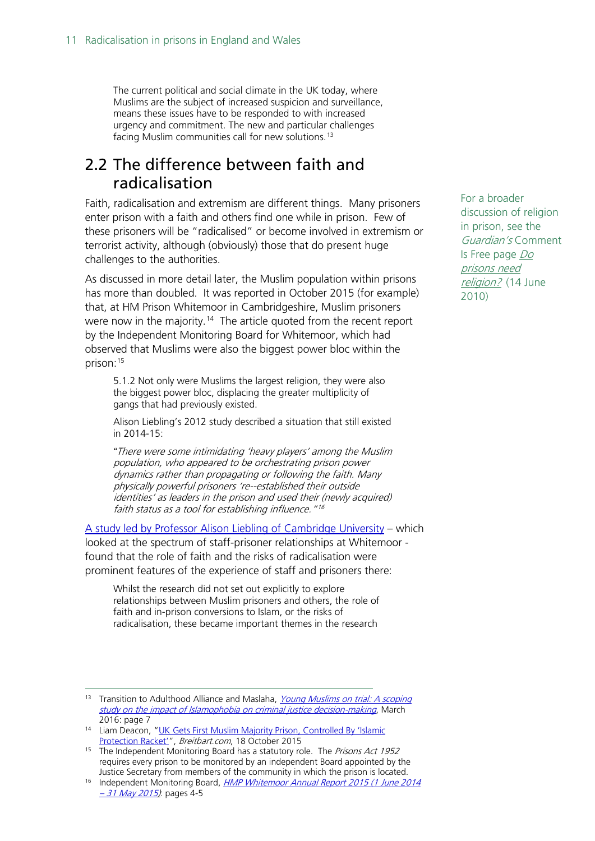The current political and social climate in the UK today, where Muslims are the subject of increased suspicion and surveillance, means these issues have to be responded to with increased urgency and commitment. The new and particular challenges facing Muslim communities call for new solutions.<sup>[13](#page-10-1)</sup>

### <span id="page-10-0"></span>2.2 The difference between faith and radicalisation

Faith, radicalisation and extremism are different things. Many prisoners enter prison with a faith and others find one while in prison. Few of these prisoners will be "radicalised" or become involved in extremism or terrorist activity, although (obviously) those that do present huge challenges to the authorities.

As discussed in more detail later, the Muslim population within prisons has more than doubled. It was reported in October 2015 (for example) that, at HM Prison Whitemoor in Cambridgeshire, Muslim prisoners were now in the majority.<sup>14</sup> The article quoted from the recent report by the Independent Monitoring Board for Whitemoor, which had observed that Muslims were also the biggest power bloc within the prison:[15](#page-10-3)

5.1.2 Not only were Muslims the largest religion, they were also the biggest power bloc, displacing the greater multiplicity of gangs that had previously existed.

Alison Liebling's 2012 study described a situation that still existed in 2014-15:

*"*There were some intimidating 'heavy players' among the Muslim population, who appeared to be orchestrating prison power dynamics rather than propagating or following the faith. Many physically powerful prisoners 're-established their outside identities' as leaders in the prison and used their (newly acquired) faith status as a tool for establishing influence. "<sup>[16](#page-10-4)</sup>

[A study led by Professor Alison](https://www.gov.uk/government/uploads/system/uploads/attachment_data/file/217381/staff-prisoner-relations-whitemoor.pdf) Liebling of Cambridge University – which looked at the spectrum of staff-prisoner relationships at Whitemoor found that the role of faith and the risks of radicalisation were prominent features of the experience of staff and prisoners there:

Whilst the research did not set out explicitly to explore relationships between Muslim prisoners and others, the role of faith and in-prison conversions to Islam, or the risks of radicalisation, these became important themes in the research

 $\overline{a}$ 

For a broader discussion of religion in prison, see the Guardian's Comment Is Free page Do [prisons need](http://www.guardian.co.uk/commentisfree/belief/2010/jun/14/religion-ukcrime)  [religion?](http://www.guardian.co.uk/commentisfree/belief/2010/jun/14/religion-ukcrime) (14 June 2010)

<span id="page-10-1"></span><sup>&</sup>lt;sup>13</sup> Transition to Adulthood Alliance and Maslaha, *Young Muslims on trial: A scoping* [study on the impact of Islamophobia on criminal justice decision-making](http://www.t2a.org.uk/wp-content/uploads/2016/03/Young_Muslims_on_Trial.pdf), March 2016: page 7

<span id="page-10-2"></span><sup>14</sup> Liam Deacon, "UK Gets First Muslim Majority Prison, Controlled By 'Islamic [Protection Racket'"](http://www.breitbart.com/london/2015/10/18/uk-gets-first-muslim-majority-prison-controlled-islamic-protection-racket/), Breitbart.com, 18 October 2015

<span id="page-10-3"></span><sup>&</sup>lt;sup>15</sup> The Independent Monitoring Board has a statutory role. The Prisons Act 1952 requires every prison to be monitored by an independent Board appointed by the Justice Secretary from members of the community in which the prison is located.

<span id="page-10-4"></span><sup>&</sup>lt;sup>16</sup> Independent Monitoring Board, HMP Whitemoor Annual Report 2015 (1 June 2014 *– [31 May 2015\)](http://www.imb.org.uk/wp-content/uploads/2015/09/Whitemoor-2014-15.pdf)*: pages 4-5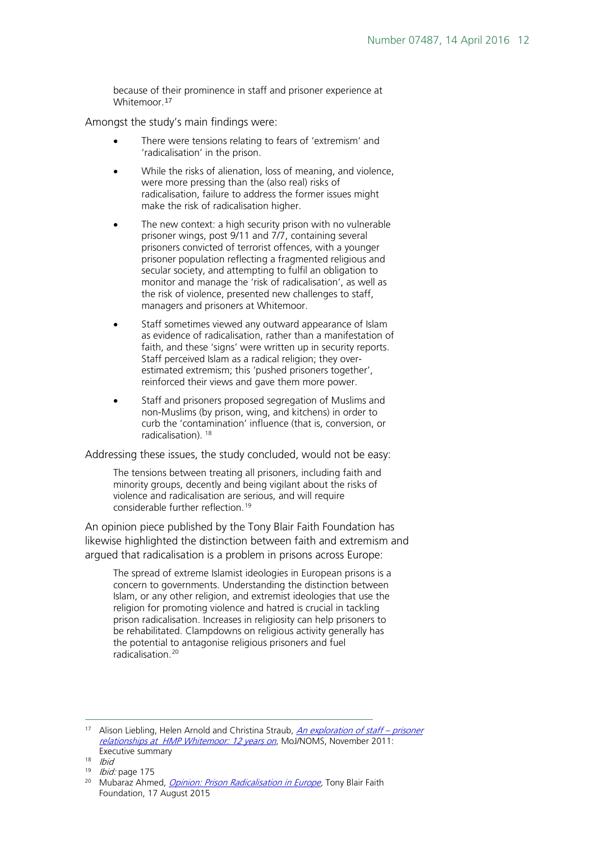because of their prominence in staff and prisoner experience at Whitemoor.<sup>[17](#page-11-0)</sup>

Amongst the study's main findings were:

- There were tensions relating to fears of 'extremism' and 'radicalisation' in the prison.
- While the risks of alienation, loss of meaning, and violence, were more pressing than the (also real) risks of radicalisation, failure to address the former issues might make the risk of radicalisation higher.
- The new context: a high security prison with no vulnerable prisoner wings, post 9/11 and 7/7, containing several prisoners convicted of terrorist offences, with a younger prisoner population reflecting a fragmented religious and secular society, and attempting to fulfil an obligation to monitor and manage the 'risk of radicalisation', as well as the risk of violence, presented new challenges to staff, managers and prisoners at Whitemoor.
- Staff sometimes viewed any outward appearance of Islam as evidence of radicalisation, rather than a manifestation of faith, and these 'signs' were written up in security reports. Staff perceived Islam as a radical religion; they overestimated extremism; this 'pushed prisoners together', reinforced their views and gave them more power.
- Staff and prisoners proposed segregation of Muslims and non-Muslims (by prison, wing, and kitchens) in order to curb the 'contamination' influence (that is, conversion, or radicalisation). [18](#page-11-1)

Addressing these issues, the study concluded, would not be easy:

The tensions between treating all prisoners, including faith and minority groups, decently and being vigilant about the risks of violence and radicalisation are serious, and will require considerable further reflection.[19](#page-11-2)

An opinion piece published by the Tony Blair Faith Foundation has likewise highlighted the distinction between faith and extremism and argued that radicalisation is a problem in prisons across Europe:

The spread of extreme Islamist ideologies in European prisons is a concern to governments. Understanding the distinction between Islam, or any other religion, and extremist ideologies that use the religion for promoting violence and hatred is crucial in tackling prison radicalisation. Increases in religiosity can help prisoners to be rehabilitated. Clampdowns on religious activity generally has the potential to antagonise religious prisoners and fuel radicalisation<sup>[20](#page-11-3)</sup>

<span id="page-11-0"></span><sup>&</sup>lt;sup>17</sup> Alison Liebling, Helen Arnold and Christina Straub, *[An exploration of staff –](https://www.gov.uk/government/uploads/system/uploads/attachment_data/file/217381/staff-prisoner-relations-whitemoor.pdf) prisoner* [relationships at HMP Whitemoor: 12 years on](https://www.gov.uk/government/uploads/system/uploads/attachment_data/file/217381/staff-prisoner-relations-whitemoor.pdf), MoJ/NOMS, November 2011: Executive summary  $\overline{a}$ 

<span id="page-11-1"></span> $18$  Ibid

 $19$  *Ibid:* page 175

<span id="page-11-3"></span><span id="page-11-2"></span><sup>&</sup>lt;sup>20</sup> Mubaraz Ahmed, *Opinion: Prison Radicalisation in Europe*, Tony Blair Faith Foundation, 17 August 2015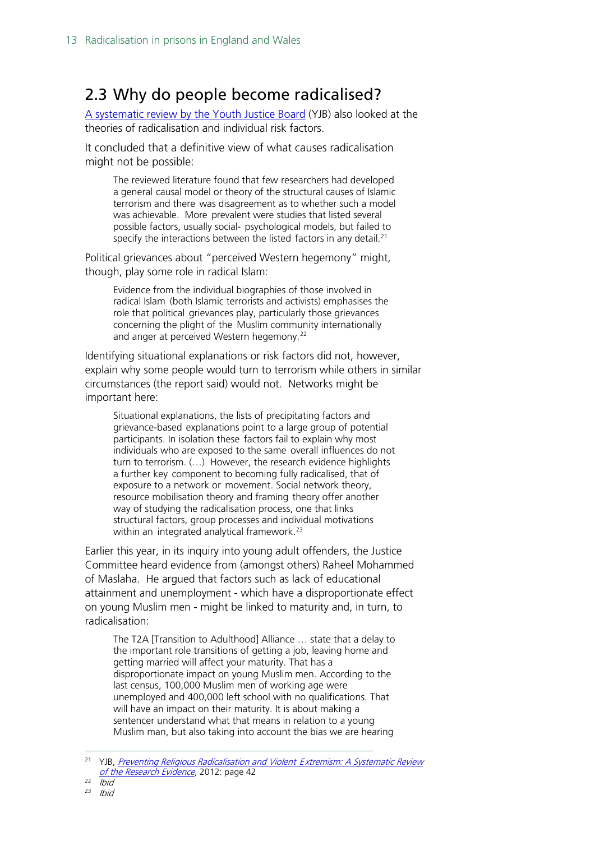# <span id="page-12-0"></span>2.3 Why do people become radicalised?

[A systematic review by the Youth Justice Board](https://www.gov.uk/government/uploads/system/uploads/attachment_data/file/396030/preventing-violent-extremism-systematic-review.pdf) (YJB) also looked at the theories of radicalisation and individual risk factors.

It concluded that a definitive view of what causes radicalisation might not be possible:

The reviewed literature found that few researchers had developed a general causal model or theory of the structural causes of Islamic terrorism and there was disagreement as to whether such a model was achievable. More prevalent were studies that listed several possible factors, usually social- psychological models, but failed to specify the interactions between the listed factors in any detail.<sup>[21](#page-12-1)</sup>

Political grievances about "perceived Western hegemony" might, though, play some role in radical Islam:

Evidence from the individual biographies of those involved in radical Islam (both Islamic terrorists and activists) emphasises the role that political grievances play, particularly those grievances concerning the plight of the Muslim community internationally and anger at perceived Western hegemony.<sup>[22](#page-12-2)</sup>

Identifying situational explanations or risk factors did not, however, explain why some people would turn to terrorism while others in similar circumstances (the report said) would not. Networks might be important here:

Situational explanations, the lists of precipitating factors and grievance-based explanations point to a large group of potential participants. In isolation these factors fail to explain why most individuals who are exposed to the same overall influences do not turn to terrorism. (…) However, the research evidence highlights a further key component to becoming fully radicalised, that of exposure to a network or movement. Social network theory, resource mobilisation theory and framing theory offer another way of studying the radicalisation process, one that links structural factors, group processes and individual motivations within an integrated analytical framework.<sup>[23](#page-12-3)</sup>

Earlier this year, in its inquiry into young adult offenders, the Justice Committee heard evidence from (amongst others) Raheel Mohammed of Maslaha. He argued that factors such as lack of educational attainment and unemployment - which have a disproportionate effect on young Muslim men - might be linked to maturity and, in turn, to radicalisation:

The T2A [Transition to Adulthood] Alliance … state that a delay to the important role transitions of getting a job, leaving home and getting married will affect your maturity. That has a disproportionate impact on young Muslim men. According to the last census, 100,000 Muslim men of working age were unemployed and 400,000 left school with no qualifications. That will have an impact on their maturity. It is about making a sentencer understand what that means in relation to a young Muslim man, but also taking into account the bias we are hearing

<span id="page-12-1"></span><sup>&</sup>lt;sup>21</sup> YJB, Preventing Religious Radicalisation and Violent Extremism: A Systematic Review [of the Research Evidence](https://www.gov.uk/government/uploads/system/uploads/attachment_data/file/396030/preventing-violent-extremism-systematic-review.pdf), 2012: page 42  $\overline{a}$ 

<span id="page-12-3"></span><span id="page-12-2"></span> $22$  Ibid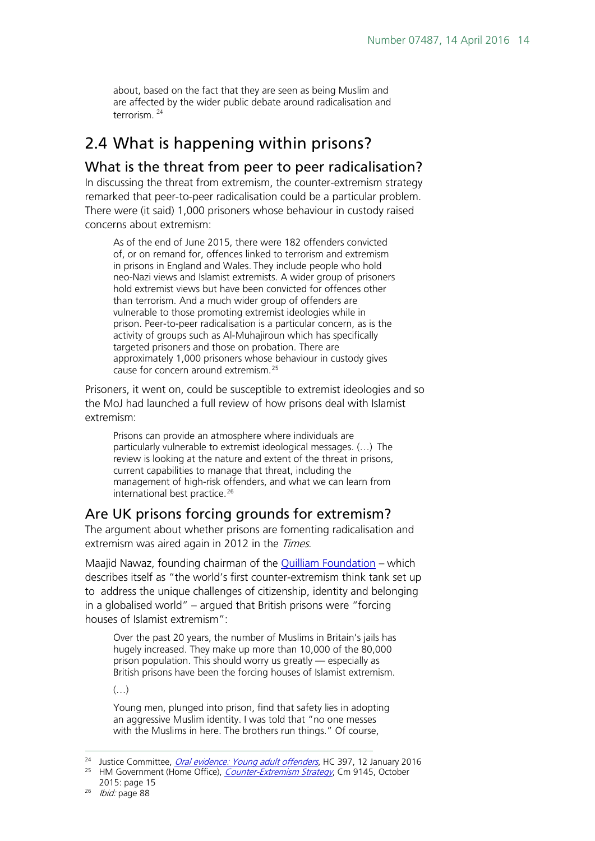about, based on the fact that they are seen as being Muslim and are affected by the wider public debate around radicalisation and terrorism. [24](#page-13-3)

# <span id="page-13-0"></span>2.4 What is happening within prisons?

#### <span id="page-13-1"></span>What is the threat from peer to peer radicalisation?

In discussing the threat from extremism, the counter-extremism strategy remarked that peer-to-peer radicalisation could be a particular problem. There were (it said) 1,000 prisoners whose behaviour in custody raised concerns about extremism:

As of the end of June 2015, there were 182 offenders convicted of, or on remand for, offences linked to terrorism and extremism in prisons in England and Wales. They include people who hold neo-Nazi views and Islamist extremists. A wider group of prisoners hold extremist views but have been convicted for offences other than terrorism. And a much wider group of offenders are vulnerable to those promoting extremist ideologies while in prison. Peer-to-peer radicalisation is a particular concern, as is the activity of groups such as Al-Muhajiroun which has specifically targeted prisoners and those on probation. There are approximately 1,000 prisoners whose behaviour in custody gives cause for concern around extremism.[25](#page-13-4)

Prisoners, it went on, could be susceptible to extremist ideologies and so the MoJ had launched a full review of how prisons deal with Islamist extremism:

Prisons can provide an atmosphere where individuals are particularly vulnerable to extremist ideological messages. (…) The review is looking at the nature and extent of the threat in prisons, current capabilities to manage that threat, including the management of high-risk offenders, and what we can learn from international best practice.<sup>[26](#page-13-5)</sup>

#### <span id="page-13-2"></span>Are UK prisons forcing grounds for extremism?

The argument about whether prisons are fomenting radicalisation and extremism was aired again in 2012 in the Times.

Maajid Nawaz, founding chairman of the [Quilliam Foundation](http://www.quilliamfoundation.org/) – which describes itself as "the world's first counter-extremism think tank set up to address the unique challenges of citizenship, identity and belonging in a globalised world" – argued that British prisons were "forcing houses of Islamist extremism":

Over the past 20 years, the number of Muslims in Britain's jails has hugely increased. They make up more than 10,000 of the 80,000 prison population. This should worry us greatly — especially as British prisons have been the forcing houses of Islamist extremism.

 $\left(\ldots\right)$ 

Young men, plunged into prison, find that safety lies in adopting an aggressive Muslim identity. I was told that "no one messes with the Muslims in here. The brothers run things." Of course,

<sup>&</sup>lt;sup>24</sup> [Justice Committee,](http://www.parliament.uk/business/committees/committees-a-z/commons-select/justice-committee/) *[Oral evidence: Young adult offenders](http://data.parliament.uk/writtenevidence/committeeevidence.svc/evidencedocument/justice-committee/young-adult-offenders/oral/27782.html)*, HC 397, 12 January 2016  $\overline{a}$ 

<span id="page-13-4"></span><span id="page-13-3"></span><sup>&</sup>lt;sup>25</sup> HM Government (Home Office), *[Counter-Extremism Strategy](https://www.gov.uk/government/uploads/system/uploads/attachment_data/file/470088/51859_Cm9148_Accessible.pdf)*, Cm 9145, October 2015: page 15

<span id="page-13-5"></span><sup>&</sup>lt;sup>26</sup> *Ibid:* page 88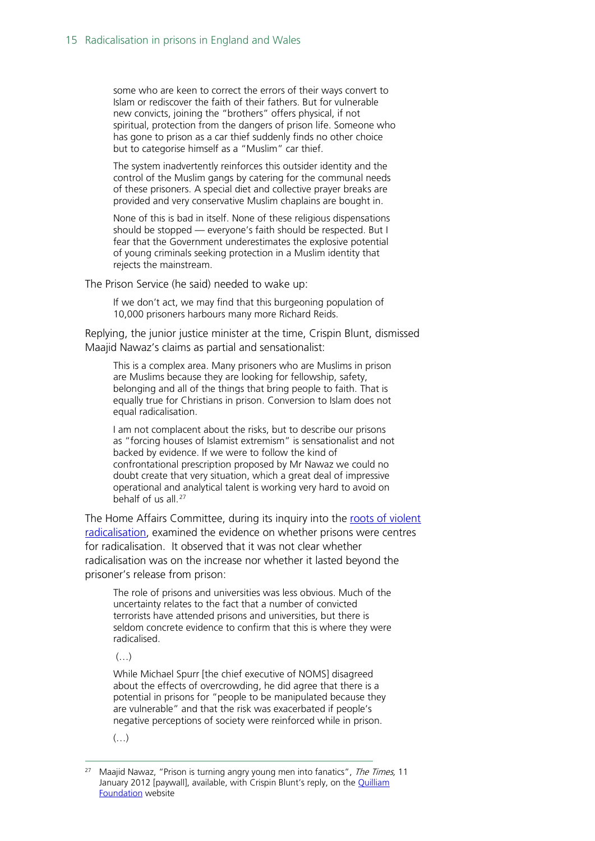some who are keen to correct the errors of their ways convert to Islam or rediscover the faith of their fathers. But for vulnerable new convicts, joining the "brothers" offers physical, if not spiritual, protection from the dangers of prison life. Someone who has gone to prison as a car thief suddenly finds no other choice but to categorise himself as a "Muslim" car thief.

The system inadvertently reinforces this outsider identity and the control of the Muslim gangs by catering for the communal needs of these prisoners. A special diet and collective prayer breaks are provided and very conservative Muslim chaplains are bought in.

None of this is bad in itself. None of these religious dispensations should be stopped — everyone's faith should be respected. But I fear that the Government underestimates the explosive potential of young criminals seeking protection in a Muslim identity that rejects the mainstream.

The Prison Service (he said) needed to wake up:

If we don't act, we may find that this burgeoning population of 10,000 prisoners harbours many more Richard Reids.

Replying, the junior justice minister at the time, Crispin Blunt, dismissed Maajid Nawaz's claims as partial and sensationalist:

This is a complex area. Many prisoners who are Muslims in prison are Muslims because they are looking for fellowship, safety, belonging and all of the things that bring people to faith. That is equally true for Christians in prison. Conversion to Islam does not equal radicalisation.

I am not complacent about the risks, but to describe our prisons as "forcing houses of Islamist extremism" is sensationalist and not backed by evidence. If we were to follow the kind of confrontational prescription proposed by Mr Nawaz we could no doubt create that very situation, which a great deal of impressive operational and analytical talent is working very hard to avoid on behalf of us all.<sup>[27](#page-14-0)</sup>

The Home Affairs Committee, during its inquiry into the roots of violent [radicalisation,](http://www.publications.parliament.uk/pa/cm201012/cmselect/cmhaff/1446/1446.pdf) examined the evidence on whether prisons were centres for radicalisation. It observed that it was not clear whether radicalisation was on the increase nor whether it lasted beyond the prisoner's release from prison:

The role of prisons and universities was less obvious. Much of the uncertainty relates to the fact that a number of convicted terrorists have attended prisons and universities, but there is seldom concrete evidence to confirm that this is where they were radicalised.

#### $(\ldots)$

While Michael Spurr [the chief executive of NOMS] disagreed about the effects of overcrowding, he did agree that there is a potential in prisons for "people to be manipulated because they are vulnerable" and that the risk was exacerbated if people's negative perceptions of society were reinforced while in prison.

 $\left(\ldots\right)$ 

<span id="page-14-0"></span>Maajid Nawaz, "Prison is turning angry young men into fanatics", The Times, 11 January 2012 [paywall], available, with Crispin Blunt's reply, on the Quilliam [Foundation](http://www.quilliamfoundation.org/press/prison-is-turning-angry-young-men-into-fanatics/) website  $\overline{a}$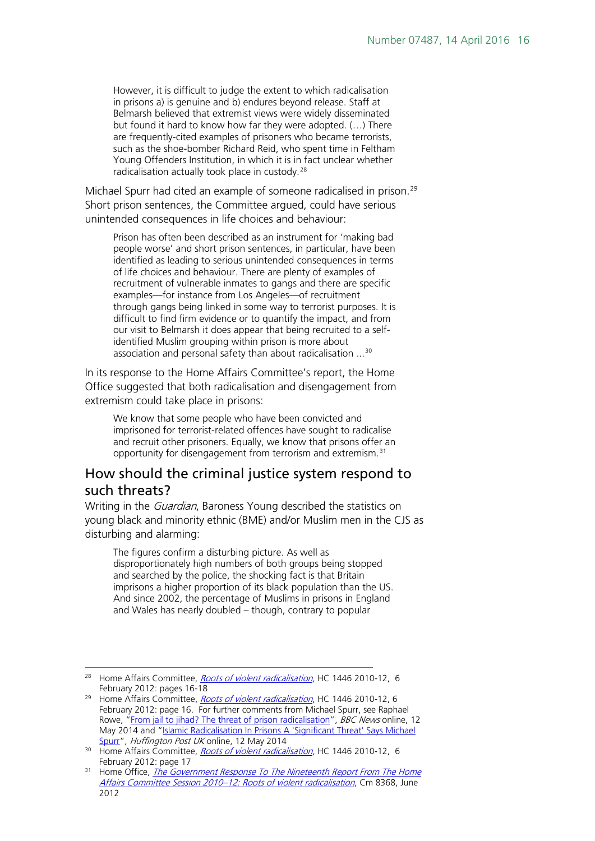However, it is difficult to judge the extent to which radicalisation in prisons a) is genuine and b) endures beyond release. Staff at Belmarsh believed that extremist views were widely disseminated but found it hard to know how far they were adopted. (…) There are frequently-cited examples of prisoners who became terrorists, such as the shoe-bomber Richard Reid, who spent time in Feltham Young Offenders Institution, in which it is in fact unclear whether radicalisation actually took place in custody.<sup>[28](#page-15-1)</sup>

Michael Spurr had cited an example of someone radicalised in prison. [29](#page-15-2)  Short prison sentences, the Committee argued, could have serious unintended consequences in life choices and behaviour:

Prison has often been described as an instrument for 'making bad people worse' and short prison sentences, in particular, have been identified as leading to serious unintended consequences in terms of life choices and behaviour. There are plenty of examples of recruitment of vulnerable inmates to gangs and there are specific examples—for instance from Los Angeles—of recruitment through gangs being linked in some way to terrorist purposes. It is difficult to find firm evidence or to quantify the impact, and from our visit to Belmarsh it does appear that being recruited to a selfidentified Muslim grouping within prison is more about association and personal safety than about radicalisation ...[30](#page-15-3)

In its response to the Home Affairs Committee's report, the Home Office suggested that both radicalisation and disengagement from extremism could take place in prisons:

We know that some people who have been convicted and imprisoned for terrorist-related offences have sought to radicalise and recruit other prisoners. Equally, we know that prisons offer an opportunity for disengagement from terrorism and extremism.[31](#page-15-4)

#### <span id="page-15-0"></span>How should the criminal justice system respond to such threats?

Writing in the *Guardian*, Baroness Young described the statistics on young black and minority ethnic (BME) and/or Muslim men in the CJS as disturbing and alarming:

The figures confirm a disturbing picture. As well as disproportionately high numbers of both groups being stopped and searched by the police, the shocking fact is that Britain imprisons a higher proportion of its black population than the US. And since 2002, the percentage of Muslims in prisons in England and Wales has nearly doubled – though, contrary to popular

<span id="page-15-1"></span><sup>&</sup>lt;sup>28</sup> Home Affairs Committee, *[Roots of violent radicalisation](http://www.publications.parliament.uk/pa/cm201012/cmselect/cmhaff/1446/1446.pdf)*, HC 1446 2010-12, 6 February 2012: pages 16-18  $\overline{a}$ 

<span id="page-15-2"></span><sup>&</sup>lt;sup>29</sup> Home Affairs Committee, *[Roots of violent radicalisation](http://www.publications.parliament.uk/pa/cm201012/cmselect/cmhaff/1446/1446.pdf)*, HC 1446 2010-12, 6 February 2012: page 16. For further comments from Michael Spurr, see Raphael Rowe, ["From jail to jihad? The threat of prison radicalisation"](http://www.bbc.co.uk/news/uk-27357208), BBC News online, 12 May 2014 and "Islamic Radicalisation In Prisons A 'Significant Threat' Says Michael [Spurr"](http://www.huffingtonpost.co.uk/2014/05/11/islamic-radicalisation-prisons-_n_5306704.html), Huffington Post UK online, 12 May 2014

<span id="page-15-3"></span><sup>&</sup>lt;sup>30</sup> Home Affairs Committee, *[Roots of violent radicalisation](http://www.publications.parliament.uk/pa/cm201012/cmselect/cmhaff/1446/1446.pdf)*, HC 1446 2010-12, 6 February 2012: page 17

<span id="page-15-4"></span><sup>&</sup>lt;sup>31</sup> Home Office, The Government Response To The Nineteenth Report From The Home Affairs Committee Session [2010–12: Roots of violent radicalisation](https://www.gov.uk/government/uploads/system/uploads/attachment_data/file/228597/8368.pdf), Cm 8368, June 2012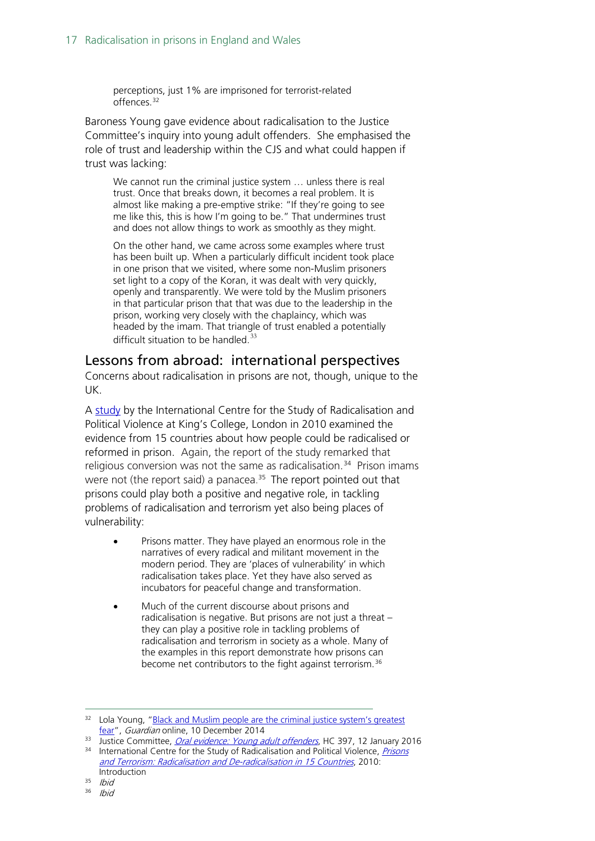perceptions, just 1% are imprisoned for terrorist-related offences.[32](#page-16-1)

Baroness Young gave evidence about radicalisation to the Justice Committee's inquiry into young adult offenders. She emphasised the role of trust and leadership within the CJS and what could happen if trust was lacking:

We cannot run the criminal justice system ... unless there is real trust. Once that breaks down, it becomes a real problem. It is almost like making a pre-emptive strike: "If they're going to see me like this, this is how I'm going to be." That undermines trust and does not allow things to work as smoothly as they might.

On the other hand, we came across some examples where trust has been built up. When a particularly difficult incident took place in one prison that we visited, where some non-Muslim prisoners set light to a copy of the Koran, it was dealt with very quickly, openly and transparently. We were told by the Muslim prisoners in that particular prison that that was due to the leadership in the prison, working very closely with the chaplaincy, which was headed by the imam. That triangle of trust enabled a potentially difficult situation to be handled. $33$ 

<span id="page-16-0"></span>Lessons from abroad: international perspectives

Concerns about radicalisation in prisons are not, though, unique to the UK.

A [study](http://icsr.info/wp-content/uploads/2012/10/1277699166PrisonsandTerrorismRadicalisationandDeradicalisationin15Countries.pdf) by the International Centre for the Study of Radicalisation and Political Violence at King's College, London in 2010 examined the evidence from 15 countries about how people could be radicalised or reformed in prison. Again, the report of the study remarked that religious conversion was not the same as radicalisation.<sup>[34](#page-16-3)</sup> Prison imams were not (the report said) a panacea.<sup>35</sup> The report pointed out that prisons could play both a positive and negative role, in tackling problems of radicalisation and terrorism yet also being places of vulnerability:

- Prisons matter. They have played an enormous role in the narratives of every radical and militant movement in the modern period. They are 'places of vulnerability' in which radicalisation takes place. Yet they have also served as incubators for peaceful change and transformation.
- Much of the current discourse about prisons and radicalisation is negative. But prisons are not just a threat – they can play a positive role in tackling problems of radicalisation and terrorism in society as a whole. Many of the examples in this report demonstrate how prisons can become net contributors to the fight against terrorism.<sup>[36](#page-16-5)</sup>

<span id="page-16-1"></span><sup>&</sup>lt;sup>32</sup> Lola Young, ["Black and Muslim people are the criminal justice system's](http://www.theguardian.com/commentisfree/2014/dec/10/criminal-justice-system-black-muslim-people-britain) greatest [fear"](http://www.theguardian.com/commentisfree/2014/dec/10/criminal-justice-system-black-muslim-people-britain), Guardian online, 10 December 2014

<span id="page-16-3"></span><span id="page-16-2"></span><sup>&</sup>lt;sup>33</sup> [Justice Committee,](http://www.parliament.uk/business/committees/committees-a-z/commons-select/justice-committee/) *[Oral evidence: Young adult offenders](http://data.parliament.uk/writtenevidence/committeeevidence.svc/evidencedocument/justice-committee/young-adult-offenders/oral/27782.html)*, HC 397, 12 January 2016 <sup>34</sup> International Centre for the Study of Radicalisation and Political Violence, *Prisons* and [Terrorism: Radicalisation and De-radicalisation in 15 Countries](http://icsr.info/wp-content/uploads/2012/10/1277699166PrisonsandTerrorismRadicalisationandDeradicalisationin15Countries.pdf), 2010: Introduction

<span id="page-16-5"></span><span id="page-16-4"></span> $35$  Ibid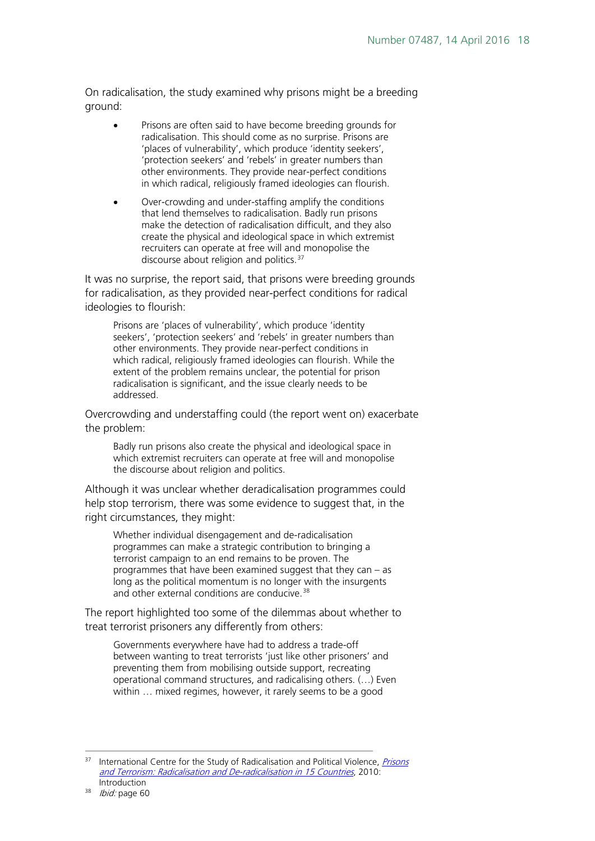On radicalisation, the study examined why prisons might be a breeding ground:

- Prisons are often said to have become breeding grounds for radicalisation. This should come as no surprise. Prisons are 'places of vulnerability', which produce 'identity seekers', 'protection seekers' and 'rebels' in greater numbers than other environments. They provide near-perfect conditions in which radical, religiously framed ideologies can flourish.
- Over-crowding and under-staffing amplify the conditions that lend themselves to radicalisation. Badly run prisons make the detection of radicalisation difficult, and they also create the physical and ideological space in which extremist recruiters can operate at free will and monopolise the discourse about religion and politics.<sup>[37](#page-17-0)</sup>

It was no surprise, the report said, that prisons were breeding grounds for radicalisation, as they provided near-perfect conditions for radical ideologies to flourish:

Prisons are 'places of vulnerability', which produce 'identity seekers', 'protection seekers' and 'rebels' in greater numbers than other environments. They provide near-perfect conditions in which radical, religiously framed ideologies can flourish. While the extent of the problem remains unclear, the potential for prison radicalisation is significant, and the issue clearly needs to be addressed.

Overcrowding and understaffing could (the report went on) exacerbate the problem:

Badly run prisons also create the physical and ideological space in which extremist recruiters can operate at free will and monopolise the discourse about religion and politics.

Although it was unclear whether deradicalisation programmes could help stop terrorism, there was some evidence to suggest that, in the right circumstances, they might:

Whether individual disengagement and de-radicalisation programmes can make a strategic contribution to bringing a terrorist campaign to an end remains to be proven. The programmes that have been examined suggest that they can – as long as the political momentum is no longer with the insurgents and other external conditions are conducive.<sup>[38](#page-17-1)</sup>

The report highlighted too some of the dilemmas about whether to treat terrorist prisoners any differently from others:

Governments everywhere have had to address a trade-off between wanting to treat terrorists 'just like other prisoners' and preventing them from mobilising outside support, recreating operational command structures, and radicalising others. (…) Even within … mixed regimes, however, it rarely seems to be a good

<span id="page-17-0"></span><sup>&</sup>lt;sup>37</sup> International Centre for the Study of Radicalisation and Political Violence, *Prisons* [and Terrorism: Radicalisation and De-radicalisation in 15 Countries](http://icsr.info/wp-content/uploads/2012/10/1277699166PrisonsandTerrorismRadicalisationandDeradicalisationin15Countries.pdf), 2010: Introduction

<span id="page-17-1"></span><sup>38</sup> *Ibid:* page 60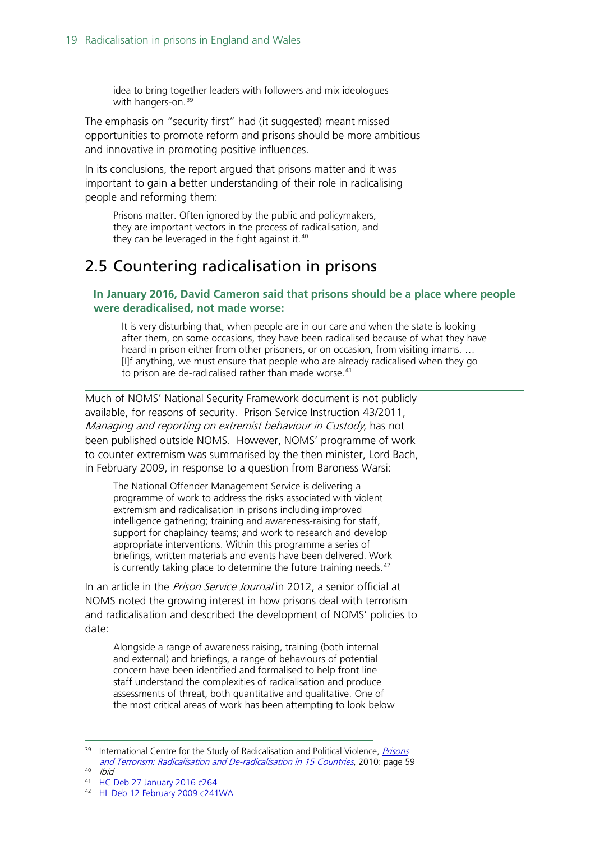idea to bring together leaders with followers and mix ideologues with hangers-on.<sup>[39](#page-18-1)</sup>

The emphasis on "security first" had (it suggested) meant missed opportunities to promote reform and prisons should be more ambitious and innovative in promoting positive influences.

In its conclusions, the report argued that prisons matter and it was important to gain a better understanding of their role in radicalising people and reforming them:

Prisons matter. Often ignored by the public and policymakers, they are important vectors in the process of radicalisation, and they can be leveraged in the fight against it.<sup>[40](#page-18-2)</sup>

### <span id="page-18-0"></span>2.5 Countering radicalisation in prisons

**In January 2016, David Cameron said that prisons should be a place where people were deradicalised, not made worse:**

It is very disturbing that, when people are in our care and when the state is looking after them, on some occasions, they have been radicalised because of what they have heard in prison either from other prisoners, or on occasion, from visiting imams. ... [I]f anything, we must ensure that people who are already radicalised when they go to prison are de-radicalised rather than made worse.<sup>[41](#page-18-3)</sup>

Much of NOMS' National Security Framework document is not publicly available, for reasons of security. Prison Service Instruction 43/2011, Managing and reporting on extremist behaviour in Custody, has not been published outside NOMS. However, NOMS' programme of work to counter extremism was summarised by the then minister, Lord Bach, in February 2009, in response to a question from Baroness Warsi:

The National Offender Management Service is delivering a programme of work to address the risks associated with violent extremism and radicalisation in prisons including improved intelligence gathering; training and awareness-raising for staff, support for chaplaincy teams; and work to research and develop appropriate interventions. Within this programme a series of briefings, written materials and events have been delivered. Work is currently taking place to determine the future training needs. $42$ 

In an article in the *Prison Service Journal* in 2012, a senior official at NOMS noted the growing interest in how prisons deal with terrorism and radicalisation and described the development of NOMS' policies to date:

Alongside a range of awareness raising, training (both internal and external) and briefings, a range of behaviours of potential concern have been identified and formalised to help front line staff understand the complexities of radicalisation and produce assessments of threat, both quantitative and qualitative. One of the most critical areas of work has been attempting to look below

<span id="page-18-1"></span><sup>&</sup>lt;sup>39</sup> International Centre for the Study of Radicalisation and Political Violence, *Prisons* [and Terrorism: Radicalisation and De-radicalisation in 15 Countries](http://icsr.info/wp-content/uploads/2012/10/1277699166PrisonsandTerrorismRadicalisationandDeradicalisationin15Countries.pdf), 2010: page 59  $\overline{a}$ 

<span id="page-18-2"></span> $40$  Ibid

<span id="page-18-3"></span><sup>41</sup> [HC Deb 27 January 2016 c264](http://www.publications.parliament.uk/pa/cm201516/cmhansrd/cm160127/debtext/160127-0001.htm)

<span id="page-18-4"></span><sup>42</sup> [HL Deb 12 February](http://www.publications.parliament.uk/pa/ld200809/ldhansrd/text/90212w0006.htm%2309021280000778) 2009 c241WA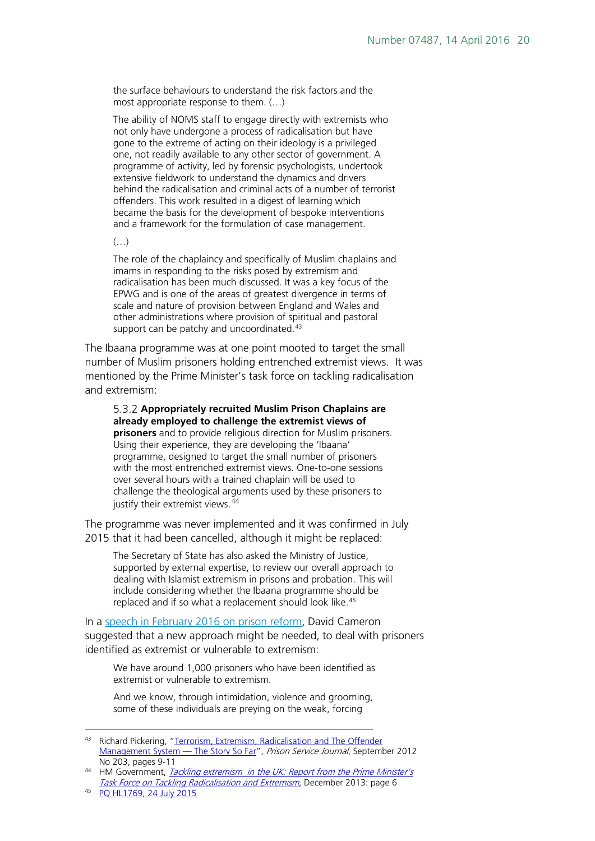the surface behaviours to understand the risk factors and the most appropriate response to them. (…)

The ability of NOMS staff to engage directly with extremists who not only have undergone a process of radicalisation but have gone to the extreme of acting on their ideology is a privileged one, not readily available to any other sector of government. A programme of activity, led by forensic psychologists, undertook extensive fieldwork to understand the dynamics and drivers behind the radicalisation and criminal acts of a number of terrorist offenders. This work resulted in a digest of learning which became the basis for the development of bespoke interventions and a framework for the formulation of case management.

 $(\ldots)$ 

The role of the chaplaincy and specifically of Muslim chaplains and imams in responding to the risks posed by extremism and radicalisation has been much discussed. It was a key focus of the EPWG and is one of the areas of greatest divergence in terms of scale and nature of provision between England and Wales and other administrations where provision of spiritual and pastoral support can be patchy and uncoordinated.<sup>[43](#page-19-0)</sup>

The Ibaana programme was at one point mooted to target the small number of Muslim prisoners holding entrenched extremist views. It was mentioned by the Prime Minister's task force on tackling radicalisation and extremism:

5.3.2 **Appropriately recruited Muslim Prison Chaplains are already employed to challenge the extremist views of prisoners** and to provide religious direction for Muslim prisoners. Using their experience, they are developing the 'Ibaana' programme, designed to target the small number of prisoners with the most entrenched extremist views. One-to-one sessions over several hours with a trained chaplain will be used to challenge the theological arguments used by these prisoners to justify their extremist views.<sup>[44](#page-19-1)</sup>

The programme was never implemented and it was confirmed in July 2015 that it had been cancelled, although it might be replaced:

The Secretary of State has also asked the Ministry of Justice, supported by external expertise, to review our overall approach to dealing with Islamist extremism in prisons and probation. This will include considering whether the Ibaana programme should be replaced and if so what a replacement should look like.<sup>[45](#page-19-2)</sup>

In a speech in February [2016 on prison reform,](https://www.gov.uk/government/speeches/prison-reform-prime-ministers-speech) David Cameron suggested that a new approach might be needed, to deal with prisoners identified as extremist or vulnerable to extremism:

We have around 1,000 prisoners who have been identified as extremist or vulnerable to extremism.

And we know, through intimidation, violence and grooming, some of these individuals are preying on the weak, forcing

<span id="page-19-0"></span><sup>&</sup>lt;sup>43</sup> Richard Pickering, "Terrorism, Extremism, Radicalisation and The Offender [Management System —](http://www.crimeandjustice.org.uk/sites/crimeandjustice.org.uk/files/PSJ%20September%202012%20No.%20203.pdf) The Story So Far", Prison Service Journal, September 2012 No 203, pages 9-11

<span id="page-19-1"></span><sup>44</sup> HM Government, Tackling extremism in the UK: Report from the Prime Minister's [Task Force on Tackling Radicalisation and Extremism](https://www.gov.uk/government/uploads/system/uploads/attachment_data/file/263181/ETF_FINAL.pdf), December 2013: page 6

<span id="page-19-2"></span><sup>45</sup> [PQ HL1769, 24 July 2015](http://www.parliament.uk/written-questions-answers-statements/written-question/lords/2015-07-21/HL1769)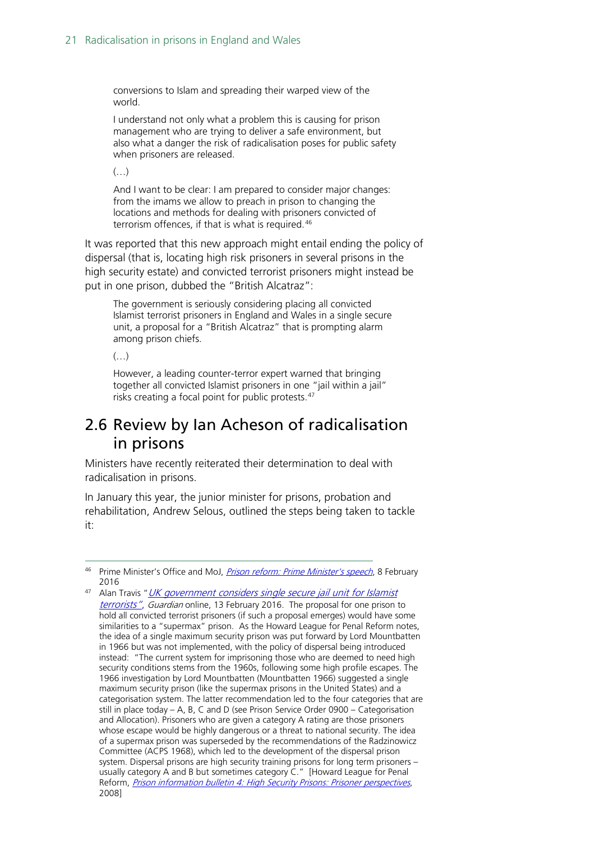conversions to Islam and spreading their warped view of the world.

I understand not only what a problem this is causing for prison management who are trying to deliver a safe environment, but also what a danger the risk of radicalisation poses for public safety when prisoners are released.

 $(\ldots)$ 

And I want to be clear: I am prepared to consider major changes: from the imams we allow to preach in prison to changing the locations and methods for dealing with prisoners convicted of terrorism offences, if that is what is required.<sup>[46](#page-20-1)</sup>

It was reported that this new approach might entail ending the policy of dispersal (that is, locating high risk prisoners in several prisons in the high security estate) and convicted terrorist prisoners might instead be put in one prison, dubbed the "British Alcatraz":

The government is seriously considering placing all convicted Islamist terrorist prisoners in England and Wales in a single secure unit, a proposal for a "British Alcatraz" that is prompting alarm among prison chiefs.

 $(\ldots)$ 

However, a leading counter-terror expert warned that bringing together all convicted Islamist prisoners in one "jail within a jail" risks creating a focal point for public protests.<sup>[47](#page-20-2)</sup>

# <span id="page-20-0"></span>2.6 Review by Ian Acheson of radicalisation in prisons

Ministers have recently reiterated their determination to deal with radicalisation in prisons.

In January this year, the junior minister for prisons, probation and rehabilitation, Andrew Selous, outlined the steps being taken to tackle it:

<span id="page-20-1"></span>Prime Minister's Office and MoJ, *[Prison reform: Prime Minister's speech](https://www.gov.uk/government/speeches/prison-reform-prime-ministers-speech)*, 8 February 2016  $\overline{a}$ 

<span id="page-20-2"></span><sup>&</sup>lt;sup>47</sup> Alan Travis "*[UK government considers single secure jail unit for Islamist](http://www.theguardian.com/society/2016/feb/12/government-considers-single-supermax-jail-islamist-terrorists)* [terrorists"](http://www.theguardian.com/society/2016/feb/12/government-considers-single-supermax-jail-islamist-terrorists), Guardian online, 13 February 2016. The proposal for one prison to hold all convicted terrorist prisoners (if such a proposal emerges) would have some similarities to a "supermax" prison. As the Howard League for Penal Reform notes, the idea of a single maximum security prison was put forward by Lord Mountbatten in 1966 but was not implemented, with the policy of dispersal being introduced instead: "The current system for imprisoning those who are deemed to need high security conditions stems from the 1960s, following some high profile escapes. The 1966 investigation by Lord Mountbatten (Mountbatten 1966) suggested a single maximum security prison (like the supermax prisons in the United States) and a categorisation system. The latter recommendation led to the four categories that are still in place today – A, B, C and D (see Prison Service Order 0900 – Categorisation and Allocation). Prisoners who are given a category A rating are those prisoners whose escape would be highly dangerous or a threat to national security. The idea of a supermax prison was superseded by the recommendations of the Radzinowicz Committee (ACPS 1968), which led to the development of the dispersal prison system. Dispersal prisons are high security training prisons for long term prisoners – usually category A and B but sometimes category C." [Howard League for Penal Reform, [Prison information bulletin 4: High Security](https://d19ylpo4aovc7m.cloudfront.net/fileadmin/howard_league/user/online_publications/High_Security_Prison_Bulletin_4.pdf) Prisons: Prisoner perspectives, 2008]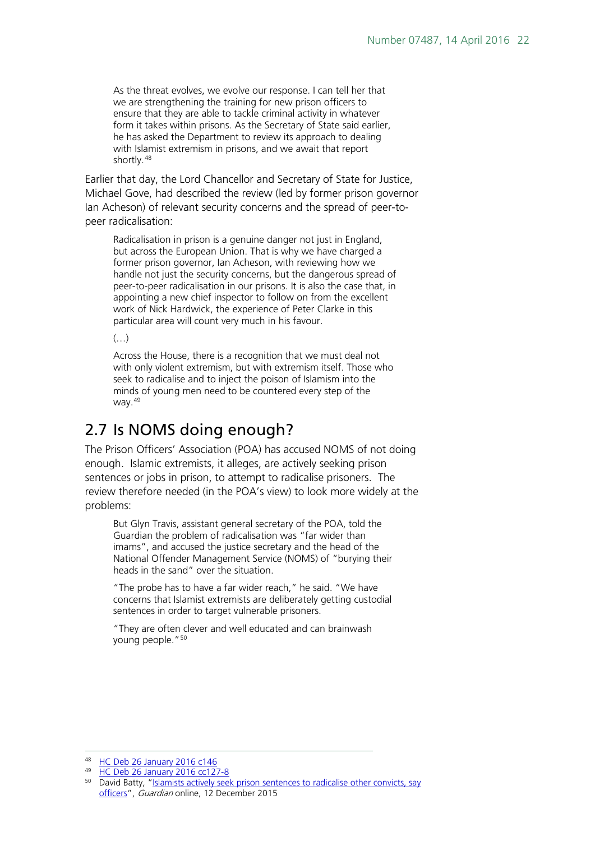As the threat evolves, we evolve our response. I can tell her that we are strengthening the training for new prison officers to ensure that they are able to tackle criminal activity in whatever form it takes within prisons. As the Secretary of State said earlier, he has asked the Department to review its approach to dealing with Islamist extremism in prisons, and we await that report shortly.[48](#page-21-1)

Earlier that day, the Lord Chancellor and Secretary of State for Justice, Michael Gove, had described the review (led by former prison governor Ian Acheson) of relevant security concerns and the spread of peer-topeer radicalisation:

Radicalisation in prison is a genuine danger not just in England, but across the European Union. That is why we have charged a former prison governor, Ian Acheson, with reviewing how we handle not just the security concerns, but the dangerous spread of peer-to-peer radicalisation in our prisons. It is also the case that, in appointing a new chief inspector to follow on from the excellent work of Nick Hardwick, the experience of Peter Clarke in this particular area will count very much in his favour.

 $(\ldots)$ 

Across the House, there is a recognition that we must deal not with only violent extremism, but with extremism itself. Those who seek to radicalise and to inject the poison of Islamism into the minds of young men need to be countered every step of the way.[49](#page-21-2)

### <span id="page-21-0"></span>2.7 Is NOMS doing enough?

The Prison Officers' Association (POA) has accused NOMS of not doing enough. Islamic extremists, it alleges, are actively seeking prison sentences or jobs in prison, to attempt to radicalise prisoners. The review therefore needed (in the POA's view) to look more widely at the problems:

But Glyn Travis, assistant general secretary of the POA, told the Guardian the problem of radicalisation was "far wider than imams", and accused the justice secretary and the head of the National Offender Management Service (NOMS) of "burying their heads in the sand" over the situation.

"The probe has to have a far wider reach," he said. "We have concerns that Islamist extremists are deliberately getting custodial sentences in order to target vulnerable prisoners.

"They are often clever and well educated and can brainwash young people."<sup>[50](#page-21-3)</sup>

<span id="page-21-1"></span><sup>48</sup> [HC Deb 26 January](http://www.publications.parliament.uk/pa/cm201516/cmhansrd/cm160126/debtext/160126-0001.htm) 2016 c146

<span id="page-21-2"></span><sup>49</sup> [HC Deb 26 January 2016 cc127-8](http://www.publications.parliament.uk/pa/cm201516/cmhansrd/cm160126/debtext/160126-0001.htm)

<span id="page-21-3"></span><sup>&</sup>lt;sup>50</sup> David Batty, "Islamists actively seek prison sentences to radicalise other convicts, say [officers"](http://www.theguardian.com/society/2015/dec/12/islamists-radicalise-convicts-prison-officers), Guardian online, 12 December 2015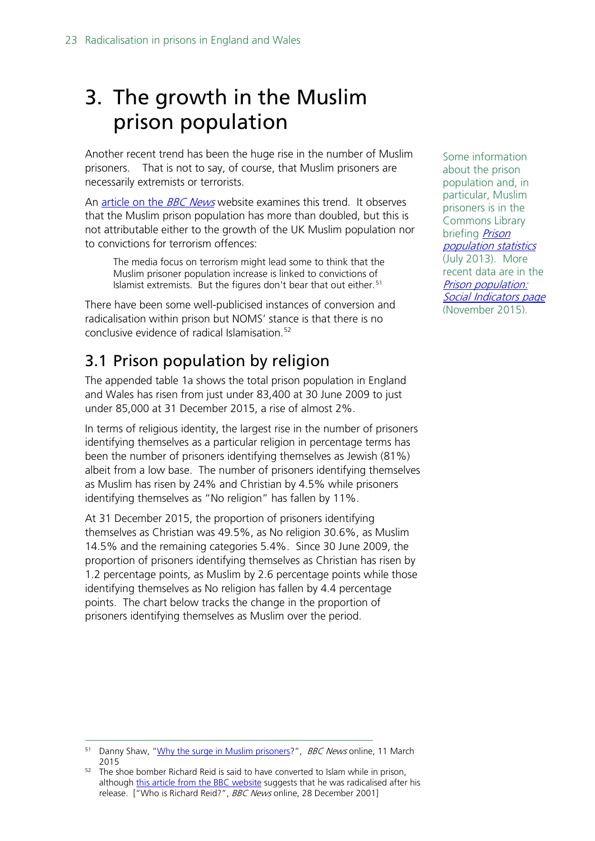# <span id="page-22-0"></span>3. The growth in the Muslim prison population

Another recent trend has been the huge rise in the number of Muslim prisoners. That is not to say, of course, that Muslim prisoners are necessarily extremists or terrorists.

An [article on the](http://www.bbc.co.uk/news/uk-31794599) **BBC News** website examines this trend. It observes that the Muslim prison population has more than doubled, but this is not attributable either to the growth of the UK Muslim population nor to convictions for terrorism offences:

The media focus on terrorism might lead some to think that the Muslim prisoner population increase is linked to convictions of Islamist extremists. But the figures don't bear that out either.<sup>[51](#page-22-2)</sup>

There have been some well-publicised instances of conversion and radicalisation within prison but NOMS' stance is that there is no conclusive evidence of radical Islamisation.[52](#page-22-3)

# <span id="page-22-1"></span>3.1 Prison population by religion

The appended table 1a shows the total prison population in England and Wales has risen from just under 83,400 at 30 June 2009 to just under 85,000 at 31 December 2015, a rise of almost 2%.

In terms of religious identity, the largest rise in the number of prisoners identifying themselves as a particular religion in percentage terms has been the number of prisoners identifying themselves as Jewish (81%) albeit from a low base. The number of prisoners identifying themselves as Muslim has risen by 24% and Christian by 4.5% while prisoners identifying themselves as "No religion" has fallen by 11%.

At 31 December 2015, the proportion of prisoners identifying themselves as Christian was 49.5%, as No religion 30.6%, as Muslim 14.5% and the remaining categories 5.4%. Since 30 June 2009, the proportion of prisoners identifying themselves as Christian has risen by 1.2 percentage points, as Muslim by 2.6 percentage points while those identifying themselves as No religion has fallen by 4.4 percentage points. The chart below tracks the change in the proportion of prisoners identifying themselves as Muslim over the period.

Some information about the prison population and, in particular, Muslim prisoners is in the Commons Library briefing **Prison** [population statistics](http://researchbriefings.files.parliament.uk/documents/SN04334/SN04334.pdf) (July 2013). More recent data are in the [Prison population:](http://researchbriefings.files.parliament.uk/documents/SN02620/SN02620.pdf)  Social [Indicators page](http://researchbriefings.files.parliament.uk/documents/SN02620/SN02620.pdf) (November 2015).

<span id="page-22-2"></span><sup>&</sup>lt;sup>51</sup> Danny Shaw, ["Why the surge in Muslim](http://www.bbc.co.uk/news/uk-31794599) prisoners?", *BBC News* online, 11 March 2015  $\overline{a}$ 

<span id="page-22-3"></span> $52$  The shoe bomber Richard Reid is said to have converted to Islam while in prison, although [this article from the BBC website](http://news.bbc.co.uk/1/hi/uk/1731568.stm) suggests that he was radicalised after his release. ["Who is Richard Reid?", BBC News online, 28 December 2001]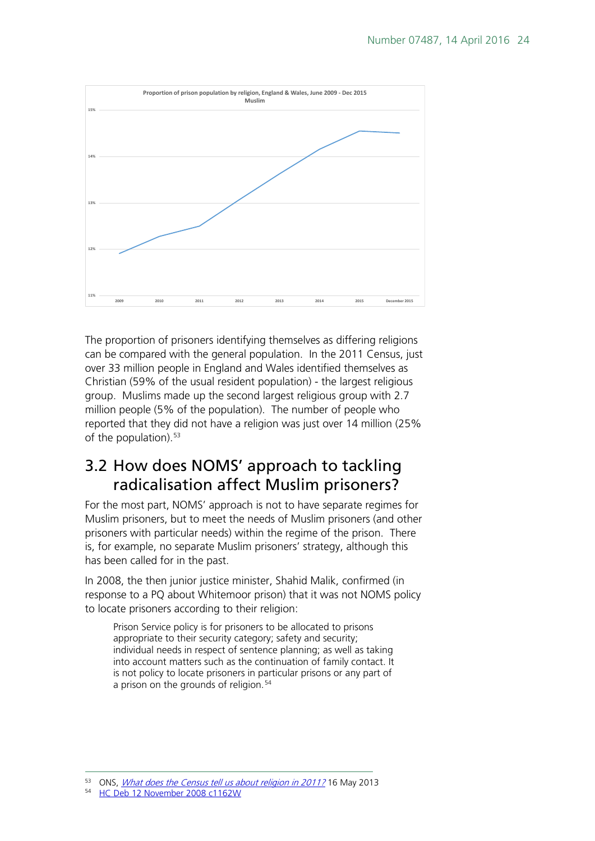

The proportion of prisoners identifying themselves as differing religions can be compared with the general population. In the 2011 Census, just over 33 million people in England and Wales identified themselves as Christian (59% of the usual resident population) - the largest religious group. Muslims made up the second largest religious group with 2.7 million people (5% of the population). The number of people who reported that they did not have a religion was just over 14 million (25% of the population).  $53$ 

### <span id="page-23-0"></span>3.2 How does NOMS' approach to tackling radicalisation affect Muslim prisoners?

For the most part, NOMS' approach is not to have separate regimes for Muslim prisoners, but to meet the needs of Muslim prisoners (and other prisoners with particular needs) within the regime of the prison. There is, for example, no separate Muslim prisoners' strategy, although this has been called for in the past.

In 2008, the then junior justice minister, Shahid Malik, confirmed (in response to a PQ about Whitemoor prison) that it was not NOMS policy to locate prisoners according to their religion:

Prison Service policy is for prisoners to be allocated to prisons appropriate to their security category; safety and security; individual needs in respect of sentence planning; as well as taking into account matters such as the continuation of family contact. It is not policy to locate prisoners in particular prisons or any part of a prison on the grounds of religion.<sup>[54](#page-23-2)</sup>

<span id="page-23-1"></span><sup>53</sup> ONS, [What does the Census tell us about religion in 2011?](http://webarchive.nationalarchives.gov.uk/20160105160709/http:/www.ons.gov.uk/ons/rel/census/2011-census/detailed-characteristics-for-local-authorities-in-england-and-wales/sty-religion.html) 16 May 2013  $\overline{a}$ 

<span id="page-23-2"></span>[HC Deb 12 November](http://www.publications.parliament.uk/pa/cm200708/cmhansrd/cm081112/text/81112w0005.htm%2308111229001636) 2008 c1162W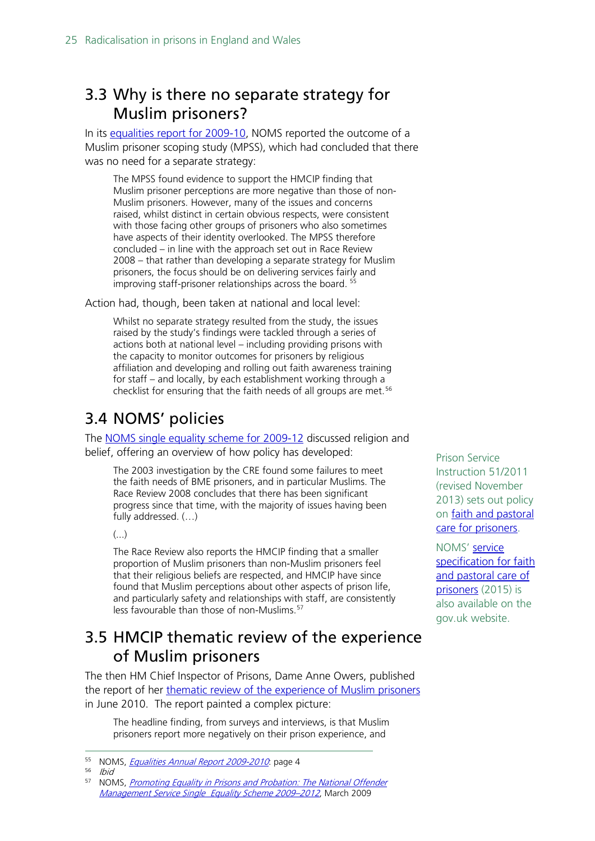# <span id="page-24-0"></span>3.3 Why is there no separate strategy for Muslim prisoners?

In its [equalities report for 2009-10,](https://www.gov.uk/government/uploads/system/uploads/attachment_data/file/294164/NOMS_equalities_annual_report_2009-10.pdf) NOMS reported the outcome of a Muslim prisoner scoping study (MPSS), which had concluded that there was no need for a separate strategy:

The MPSS found evidence to support the HMCIP finding that Muslim prisoner perceptions are more negative than those of non-Muslim prisoners. However, many of the issues and concerns raised, whilst distinct in certain obvious respects, were consistent with those facing other groups of prisoners who also sometimes have aspects of their identity overlooked. The MPSS therefore concluded – in line with the approach set out in Race Review 2008 – that rather than developing a separate strategy for Muslim prisoners, the focus should be on delivering services fairly and improving staff-prisoner relationships across the board. [55](#page-24-3)

Action had, though, been taken at national and local level:

Whilst no separate strategy resulted from the study, the issues raised by the study's findings were tackled through a series of actions both at national level – including providing prisons with the capacity to monitor outcomes for prisoners by religious affiliation and developing and rolling out faith awareness training for staff – and locally, by each establishment working through a checklist for ensuring that the faith needs of all groups are met.<sup>[56](#page-24-4)</sup>

### <span id="page-24-1"></span>3.4 NOMS' policies

The [NOMS single equality scheme for 2009-12](http://www.justice.gov.uk/downloads/publications/noms/2009/noms-single-equality-scheme.pdf) discussed religion and belief, offering an overview of how policy has developed:

The 2003 investigation by the CRE found some failures to meet the faith needs of BME prisoners, and in particular Muslims. The Race Review 2008 concludes that there has been significant progress since that time, with the majority of issues having been fully addressed. (…)

 $\left( \ldots \right)$ 

The Race Review also reports the HMCIP finding that a smaller proportion of Muslim prisoners than non-Muslim prisoners feel that their religious beliefs are respected, and HMCIP have since found that Muslim perceptions about other aspects of prison life, and particularly safety and relationships with staff, are consistently less favourable than those of non-Muslims.<sup>[57](#page-24-5)</sup>

### <span id="page-24-2"></span>3.5 HMCIP thematic review of the experience of Muslim prisoners

The then HM Chief Inspector of Prisons, Dame Anne Owers, published the report of her [thematic review of the experience of Muslim prisoners](https://www.justiceinspectorates.gov.uk/hmiprisons/wp-content/uploads/sites/4/2014/04/Muslim_prisoners_2010_rps.pdf) in June 2010. The report painted a complex picture:

The headline finding, from surveys and interviews, is that Muslim prisoners report more negatively on their prison experience, and

Prison Service Instruction 51/2011 (revised November 2013) sets out policy on [faith and pastoral](http://www.justice.gov.uk/downloads/offenders/psipso/psi-2011/psi-51-2011-faith-pastoralcare.doc)  [care for prisoners.](http://www.justice.gov.uk/downloads/offenders/psipso/psi-2011/psi-51-2011-faith-pastoralcare.doc)

NOMS' [service](https://www.gov.uk/government/uploads/system/uploads/attachment_data/file/494370/2015-11-11_Faith_and_Pastoral_Care_P3.0_FINAL.pdf)  [specification for](https://www.gov.uk/government/uploads/system/uploads/attachment_data/file/494370/2015-11-11_Faith_and_Pastoral_Care_P3.0_FINAL.pdf) faith [and pastoral care of](https://www.gov.uk/government/uploads/system/uploads/attachment_data/file/494370/2015-11-11_Faith_and_Pastoral_Care_P3.0_FINAL.pdf)  [prisoners](https://www.gov.uk/government/uploads/system/uploads/attachment_data/file/494370/2015-11-11_Faith_and_Pastoral_Care_P3.0_FINAL.pdf) (2015) is also available on the gov.uk website.

<sup>&</sup>lt;sup>55</sup> NOMS, *<u>[Equalities Annual Report](https://www.gov.uk/government/uploads/system/uploads/attachment_data/file/294164/NOMS_equalities_annual_report_2009-10.pdf) 2009-2010</u>:* page 4  $\overline{a}$ 

<span id="page-24-4"></span><span id="page-24-3"></span> $56$  Ibid

<span id="page-24-5"></span><sup>&</sup>lt;sup>57</sup> NOMS, Promoting Equality in Prisons and Probation: The National Offender [Management Service Single Equality Scheme 2009–2012](http://www.justice.gov.uk/downloads/publications/noms/2009/noms-single-equality-scheme.pdf), March 2009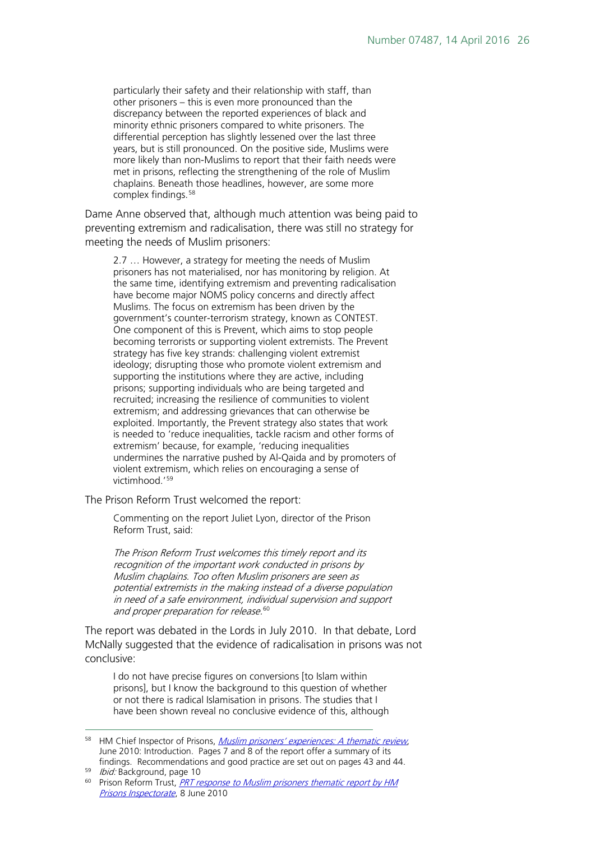particularly their safety and their relationship with staff, than other prisoners – this is even more pronounced than the discrepancy between the reported experiences of black and minority ethnic prisoners compared to white prisoners. The differential perception has slightly lessened over the last three years, but is still pronounced. On the positive side, Muslims were more likely than non-Muslims to report that their faith needs were met in prisons, reflecting the strengthening of the role of Muslim chaplains. Beneath those headlines, however, are some more complex findings.<sup>[58](#page-25-0)</sup>

Dame Anne observed that, although much attention was being paid to preventing extremism and radicalisation, there was still no strategy for meeting the needs of Muslim prisoners:

2.7 … However, a strategy for meeting the needs of Muslim prisoners has not materialised, nor has monitoring by religion. At the same time, identifying extremism and preventing radicalisation have become major NOMS policy concerns and directly affect Muslims. The focus on extremism has been driven by the government's counter-terrorism strategy, known as CONTEST. One component of this is Prevent, which aims to stop people becoming terrorists or supporting violent extremists. The Prevent strategy has five key strands: challenging violent extremist ideology; disrupting those who promote violent extremism and supporting the institutions where they are active, including prisons; supporting individuals who are being targeted and recruited; increasing the resilience of communities to violent extremism; and addressing grievances that can otherwise be exploited. Importantly, the Prevent strategy also states that work is needed to 'reduce inequalities, tackle racism and other forms of extremism' because, for example, 'reducing inequalities undermines the narrative pushed by Al-Qaida and by promoters of violent extremism, which relies on encouraging a sense of victimhood.'[59](#page-25-1)

The Prison Reform Trust welcomed the report:

 $\overline{a}$ 

Commenting on the report Juliet Lyon, director of the Prison Reform Trust, said:

The Prison Reform Trust welcomes this timely report and its recognition of the important work conducted in prisons by Muslim chaplains. Too often Muslim prisoners are seen as potential extremists in the making instead of a diverse population in need of a safe environment, individual supervision and support and proper preparation for release.<sup>[60](#page-25-2)</sup>

The report was debated in the Lords in July 2010. In that debate, Lord McNally suggested that the evidence of radicalisation in prisons was not conclusive:

I do not have precise figures on conversions [to Islam within prisons], but I know the background to this question of whether or not there is radical Islamisation in prisons. The studies that I have been shown reveal no conclusive evidence of this, although

<span id="page-25-0"></span><sup>&</sup>lt;sup>58</sup> HM Chief Inspector of Prisons, *[Muslim prisoners' experiences: A thematic review](https://www.justiceinspectorates.gov.uk/hmiprisons/wp-content/uploads/sites/4/2014/04/Muslim_prisoners_2010_rps.pdf)*, June 2010: Introduction. Pages 7 and 8 of the report offer a summary of its findings. Recommendations and good practice are set out on pages 43 and 44.

<span id="page-25-2"></span><span id="page-25-1"></span><sup>59</sup> *Ibid:* Background, page 10  $60$  Prison Reform Trust, PRT response to Muslim prisoners thematic report by HM [Prisons Inspectorate](http://www.prisonreformtrust.org.uk/PressPolicy/News/vw/1/ItemID/25), 8 June 2010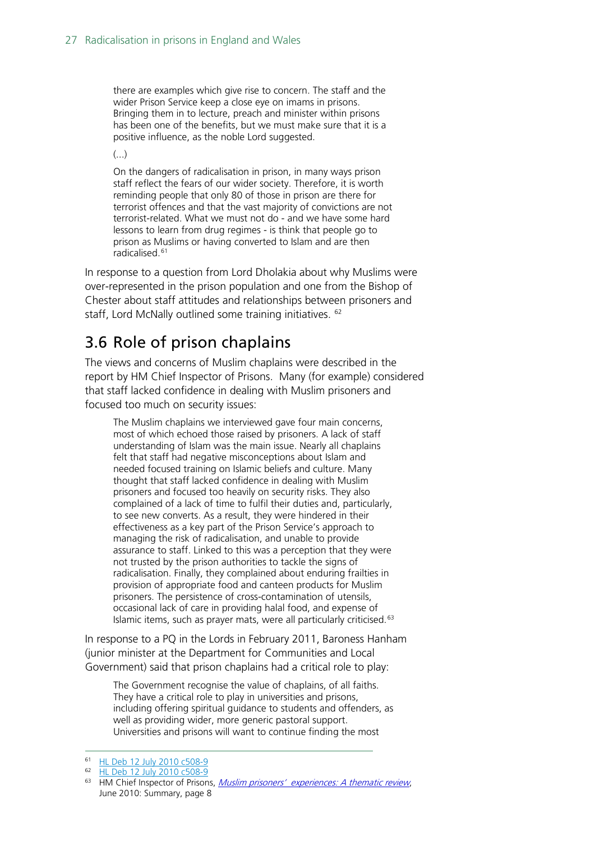there are examples which give rise to concern. The staff and the wider Prison Service keep a close eye on imams in prisons. Bringing them in to lecture, preach and minister within prisons has been one of the benefits, but we must make sure that it is a positive influence, as the noble Lord suggested.

 $\left( \ldots \right)$ 

On the dangers of radicalisation in prison, in many ways prison staff reflect the fears of our wider society. Therefore, it is worth reminding people that only 80 of those in prison are there for terrorist offences and that the vast majority of convictions are not terrorist-related. What we must not do - and we have some hard lessons to learn from drug regimes - is think that people go to prison as Muslims or having converted to Islam and are then radicalised.<sup>[61](#page-26-1)</sup>

In response to a question from Lord Dholakia about why Muslims were over-represented in the prison population and one from the Bishop of Chester about staff attitudes and relationships between prisoners and staff, Lord McNally outlined some training initiatives. <sup>[62](#page-26-2)</sup>

### <span id="page-26-0"></span>3.6 Role of prison chaplains

The views and concerns of Muslim chaplains were described in the report by HM Chief Inspector of Prisons. Many (for example) considered that staff lacked confidence in dealing with Muslim prisoners and focused too much on security issues:

The Muslim chaplains we interviewed gave four main concerns, most of which echoed those raised by prisoners. A lack of staff understanding of Islam was the main issue. Nearly all chaplains felt that staff had negative misconceptions about Islam and needed focused training on Islamic beliefs and culture. Many thought that staff lacked confidence in dealing with Muslim prisoners and focused too heavily on security risks. They also complained of a lack of time to fulfil their duties and, particularly, to see new converts. As a result, they were hindered in their effectiveness as a key part of the Prison Service's approach to managing the risk of radicalisation, and unable to provide assurance to staff. Linked to this was a perception that they were not trusted by the prison authorities to tackle the signs of radicalisation. Finally, they complained about enduring frailties in provision of appropriate food and canteen products for Muslim prisoners. The persistence of cross-contamination of utensils, occasional lack of care in providing halal food, and expense of Islamic items, such as prayer mats, were all particularly criticised.<sup>[63](#page-26-3)</sup>

In response to a PQ in the Lords in February 2011, Baroness Hanham (junior minister at the Department for Communities and Local Government) said that prison chaplains had a critical role to play:

The Government recognise the value of chaplains, of all faiths. They have a critical role to play in universities and prisons, including offering spiritual guidance to students and offenders, as well as providing wider, more generic pastoral support. Universities and prisons will want to continue finding the most

<span id="page-26-1"></span><sup>61</sup> [HL Deb 12 July 2010 c508-9](http://www.publications.parliament.uk/pa/ld201011/ldhansrd/text/100712-0001.htm%231007125000024)

<sup>62</sup> [HL Deb 12 July 2010 c508-9](http://www.publications.parliament.uk/pa/ld201011/ldhansrd/text/100712-0001.htm%231007125000024)

<span id="page-26-3"></span><span id="page-26-2"></span><sup>63</sup> HM Chief Inspector of Prisons, [Muslim prisoners' experiences: A thematic review](https://www.justiceinspectorates.gov.uk/hmiprisons/inspections/muslim-prisoners-experiences-a-thematic-review/), June 2010: Summary, page 8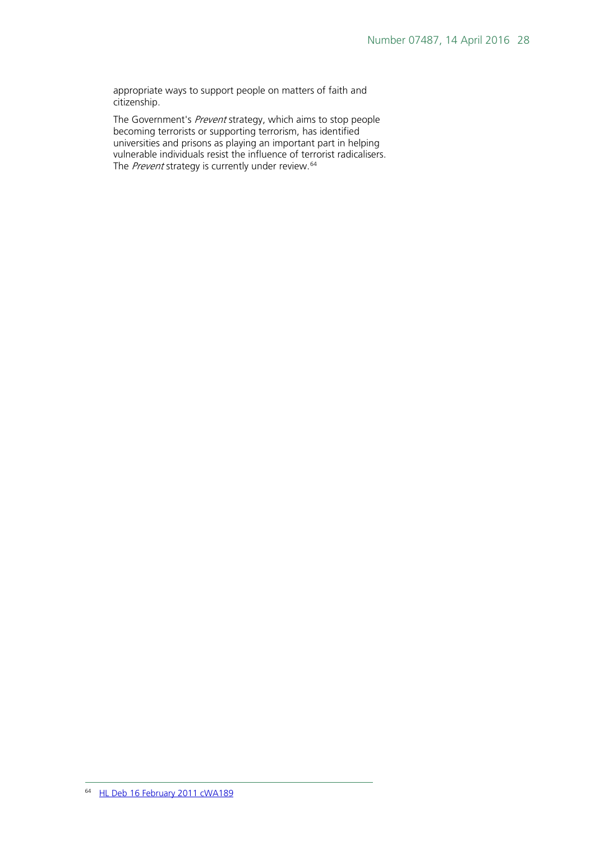appropriate ways to support people on matters of faith and citizenship.

<span id="page-27-0"></span>The Government's Prevent strategy, which aims to stop people becoming terrorists or supporting terrorism, has identified universities and prisons as playing an important part in helping vulnerable individuals resist the influence of terrorist radicalisers. The Prevent strategy is currently under review.<sup>[64](#page-27-0)</sup>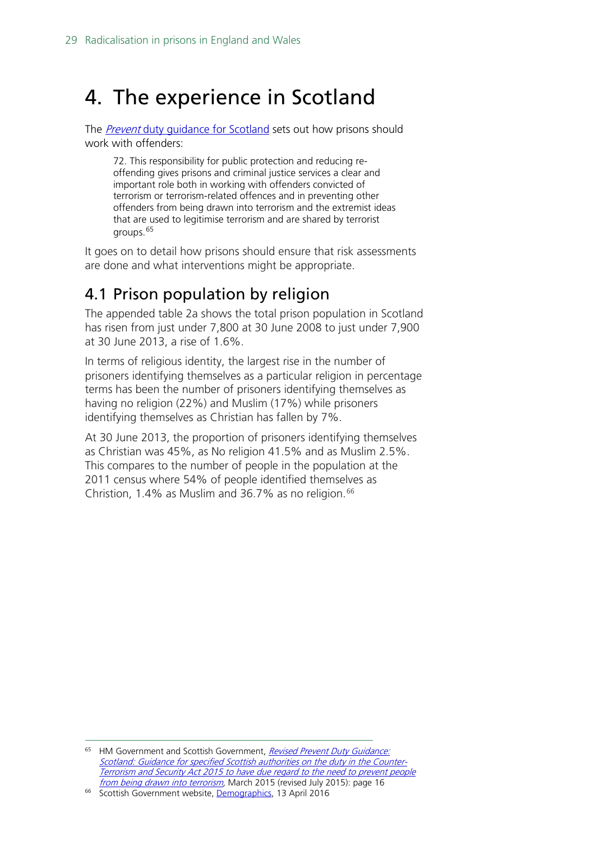# <span id="page-28-0"></span>4. The experience in Scotland

The *Prevent* duty quidance for Scotland sets out how prisons should work with offenders:

72. This responsibility for public protection and reducing reoffending gives prisons and criminal justice services a clear and important role both in working with offenders convicted of terrorism or terrorism-related offences and in preventing other offenders from being drawn into terrorism and the extremist ideas that are used to legitimise terrorism and are shared by terrorist groups.[65](#page-28-2)

It goes on to detail how prisons should ensure that risk assessments are done and what interventions might be appropriate.

# <span id="page-28-1"></span>4.1 Prison population by religion

The appended table 2a shows the total prison population in Scotland has risen from just under 7,800 at 30 June 2008 to just under 7,900 at 30 June 2013, a rise of 1.6%.

In terms of religious identity, the largest rise in the number of prisoners identifying themselves as a particular religion in percentage terms has been the number of prisoners identifying themselves as having no religion (22%) and Muslim (17%) while prisoners identifying themselves as Christian has fallen by 7%.

At 30 June 2013, the proportion of prisoners identifying themselves as Christian was 45%, as No religion 41.5% and as Muslim 2.5%. This compares to the number of people in the population at the 2011 census where 54% of people identified themselves as Christion, 1.4% as Muslim and 36.7% as no religion.<sup>[66](#page-28-3)</sup>

<span id="page-28-3"></span><sup>66</sup> Scottish Government website, [Demographics,](http://www.gov.scot/Topics/People/Equality/Equalities/DataGrid/Religion/RelPopMig) 13 April 2016

<span id="page-28-2"></span><sup>&</sup>lt;sup>65</sup> HM Government and Scottish Government, Revised Prevent Duty Guidance: [Scotland: Guidance for specified Scottish authorities on the duty in the Counter-](https://www.gov.uk/government/uploads/system/uploads/attachment_data/file/445978/3799_Revised_Prevent_Duty_Guidance__Scotland_V2.pdf)[Terrorism and Security Act 2015 to have due regard to the need to prevent people](https://www.gov.uk/government/uploads/system/uploads/attachment_data/file/445978/3799_Revised_Prevent_Duty_Guidance__Scotland_V2.pdf)  [from being drawn into terrorism,](https://www.gov.uk/government/uploads/system/uploads/attachment_data/file/445978/3799_Revised_Prevent_Duty_Guidance__Scotland_V2.pdf) March 2015 (revised July 2015): page 16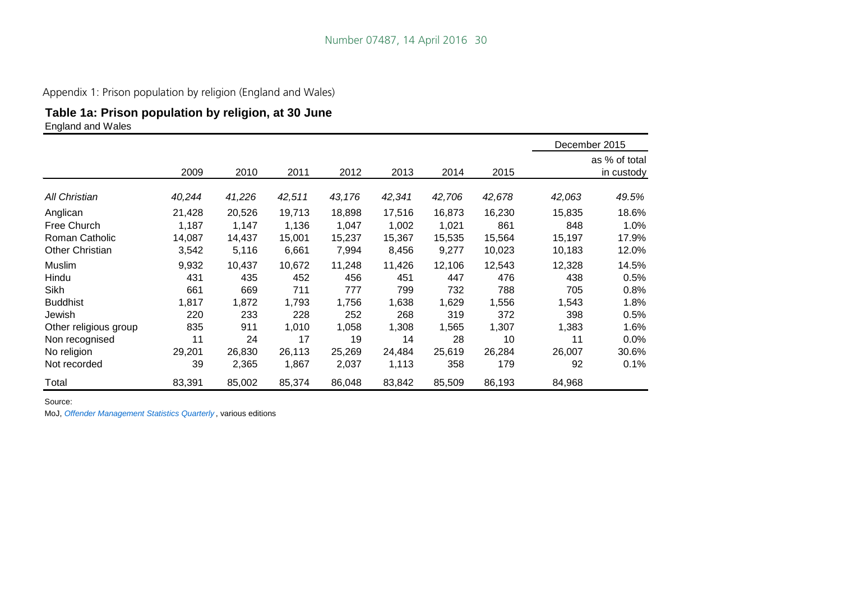#### Appendix 1: Prison population by religion (England and Wales)

#### **Table 1a: Prison population by religion, at 30 June**

England and Wales

|                        |        |        |        |        |        |        |        | December 2015 |                             |
|------------------------|--------|--------|--------|--------|--------|--------|--------|---------------|-----------------------------|
|                        | 2009   | 2010   | 2011   | 2012   | 2013   | 2014   | 2015   |               | as % of total<br>in custody |
| <b>All Christian</b>   | 40,244 | 41,226 | 42,511 | 43,176 | 42,341 | 42,706 | 42,678 | 42,063        | 49.5%                       |
| Anglican               | 21,428 | 20,526 | 19,713 | 18,898 | 17,516 | 16,873 | 16,230 | 15,835        | 18.6%                       |
| Free Church            | 1,187  | 1,147  | 1,136  | 1,047  | 1,002  | 1,021  | 861    | 848           | 1.0%                        |
| Roman Catholic         | 14,087 | 14,437 | 15,001 | 15,237 | 15,367 | 15,535 | 15,564 | 15,197        | 17.9%                       |
| <b>Other Christian</b> | 3,542  | 5,116  | 6,661  | 7,994  | 8,456  | 9,277  | 10,023 | 10,183        | 12.0%                       |
| Muslim                 | 9,932  | 10,437 | 10,672 | 11,248 | 11,426 | 12,106 | 12,543 | 12,328        | 14.5%                       |
| Hindu                  | 431    | 435    | 452    | 456    | 451    | 447    | 476    | 438           | 0.5%                        |
| Sikh                   | 661    | 669    | 711    | 777    | 799    | 732    | 788    | 705           | 0.8%                        |
| <b>Buddhist</b>        | 1,817  | 1,872  | 1,793  | 1,756  | 1,638  | 1,629  | 1,556  | 1,543         | 1.8%                        |
| Jewish                 | 220    | 233    | 228    | 252    | 268    | 319    | 372    | 398           | 0.5%                        |
| Other religious group  | 835    | 911    | 1,010  | 1,058  | 1,308  | 1,565  | 1,307  | 1,383         | 1.6%                        |
| Non recognised         | 11     | 24     | 17     | 19     | 14     | 28     | 10     | 11            | 0.0%                        |
| No religion            | 29,201 | 26,830 | 26,113 | 25,269 | 24,484 | 25,619 | 26,284 | 26,007        | 30.6%                       |
| Not recorded           | 39     | 2,365  | 1,867  | 2,037  | 1,113  | 358    | 179    | 92            | 0.1%                        |
| Total                  | 83,391 | 85,002 | 85,374 | 86,048 | 83,842 | 85,509 | 86,193 | 84,968        |                             |

Source:

MoJ, *Offender Management Statistics Quarterly* , various editions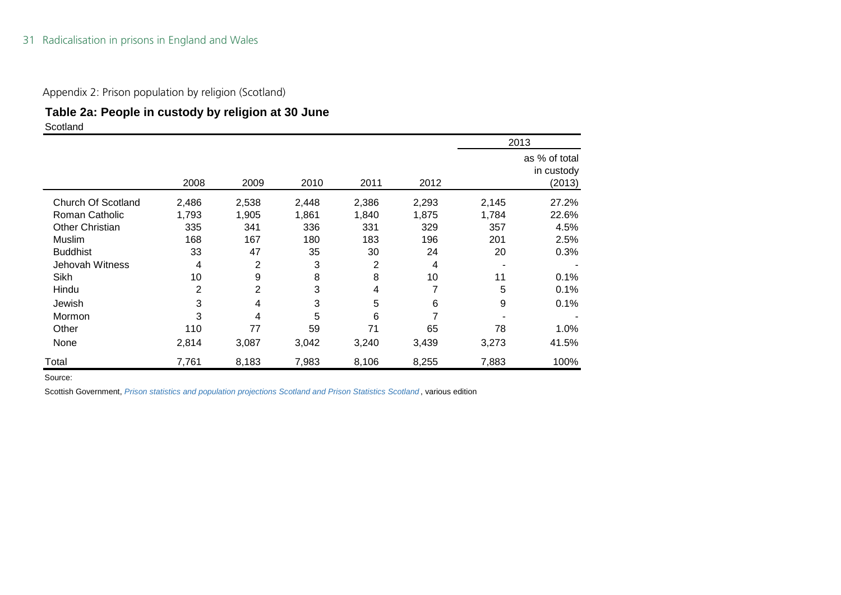#### Appendix 2: Prison population by religion (Scotland)

### **Table 2a: People in custody by religion at 30 June**

Scotland

|                           |       |       |       |                |       | 2013  |                                       |
|---------------------------|-------|-------|-------|----------------|-------|-------|---------------------------------------|
|                           | 2008  | 2009  | 2010  | 2011           | 2012  |       | as % of total<br>in custody<br>(2013) |
| <b>Church Of Scotland</b> | 2,486 | 2,538 | 2,448 | 2,386          | 2,293 | 2,145 | 27.2%                                 |
| Roman Catholic            | 1,793 | 1,905 | 1,861 | 1,840          | 1,875 | 1,784 | 22.6%                                 |
| <b>Other Christian</b>    | 335   | 341   | 336   | 331            | 329   | 357   | 4.5%                                  |
| Muslim                    | 168   | 167   | 180   | 183            | 196   | 201   | 2.5%                                  |
| <b>Buddhist</b>           | 33    | 47    | 35    | 30             | 24    | 20    | 0.3%                                  |
| Jehovah Witness           | 4     | 2     | 3     | $\overline{2}$ | 4     |       |                                       |
| Sikh                      | 10    | 9     | 8     | 8              | 10    | 11    | 0.1%                                  |
| Hindu                     | 2     | 2     | 3     | 4              | 7     | 5     | 0.1%                                  |
| Jewish                    | 3     | 4     | 3     | 5              | 6     | 9     | 0.1%                                  |
| Mormon                    | 3     | 4     | 5     | 6              | 7     |       |                                       |
| Other                     | 110   | 77    | 59    | 71             | 65    | 78    | 1.0%                                  |
| None                      | 2,814 | 3,087 | 3,042 | 3,240          | 3,439 | 3,273 | 41.5%                                 |
| Total                     | 7,761 | 8,183 | 7,983 | 8,106          | 8,255 | 7,883 | 100%                                  |

Source:

Scottish Government, *Prison statistics and population projections Scotland and Prison Statistics Scotland* , various edition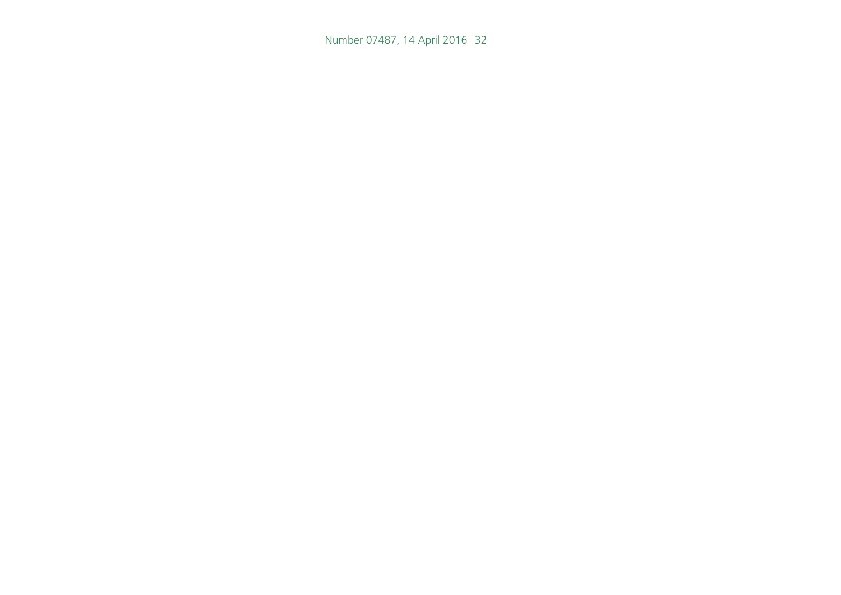Number 07487, 14 April 2016 32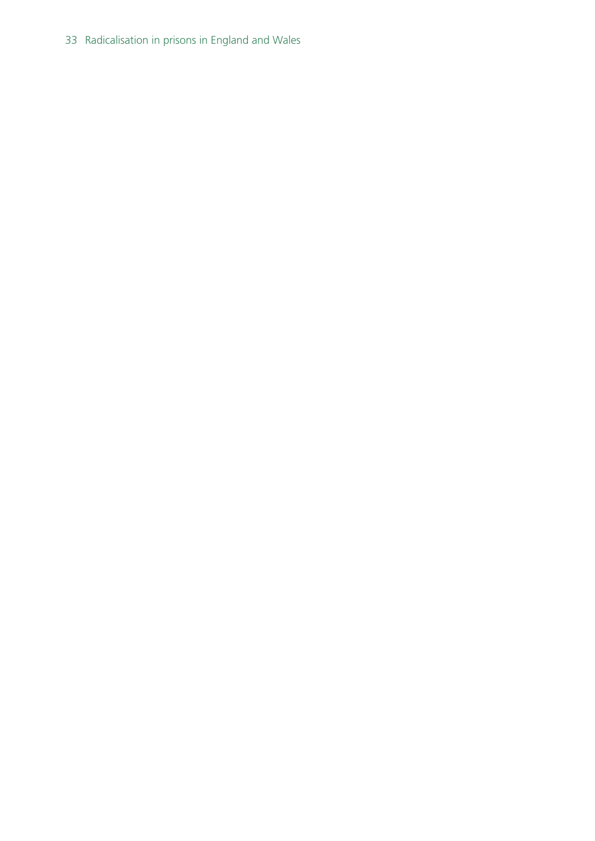Radicalisation in prisons in England and Wales